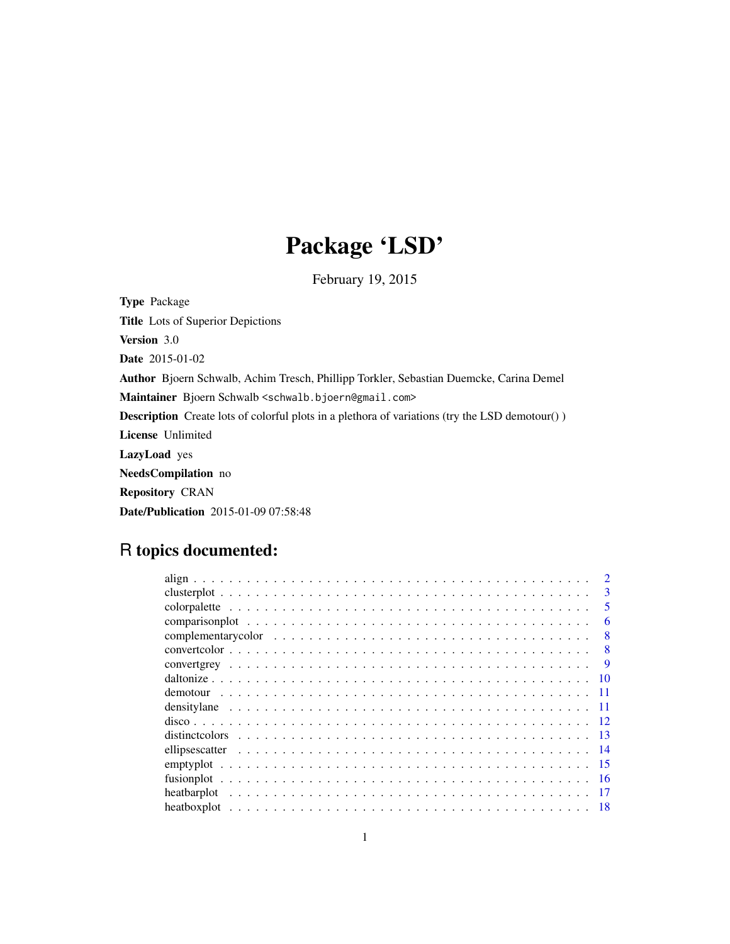## Package 'LSD'

February 19, 2015

Type Package Title Lots of Superior Depictions Version 3.0 Date 2015-01-02 Author Bjoern Schwalb, Achim Tresch, Phillipp Torkler, Sebastian Duemcke, Carina Demel Maintainer Bjoern Schwalb <schwalb.bjoern@gmail.com> Description Create lots of colorful plots in a plethora of variations (try the LSD demotour() ) License Unlimited LazyLoad yes NeedsCompilation no Repository CRAN Date/Publication 2015-01-09 07:58:48

## R topics documented:

| 3    |
|------|
| 5    |
| 6    |
| 8    |
| 8    |
| -9   |
| - 10 |
|      |
|      |
|      |
|      |
|      |
|      |
| -16  |
|      |
| - 18 |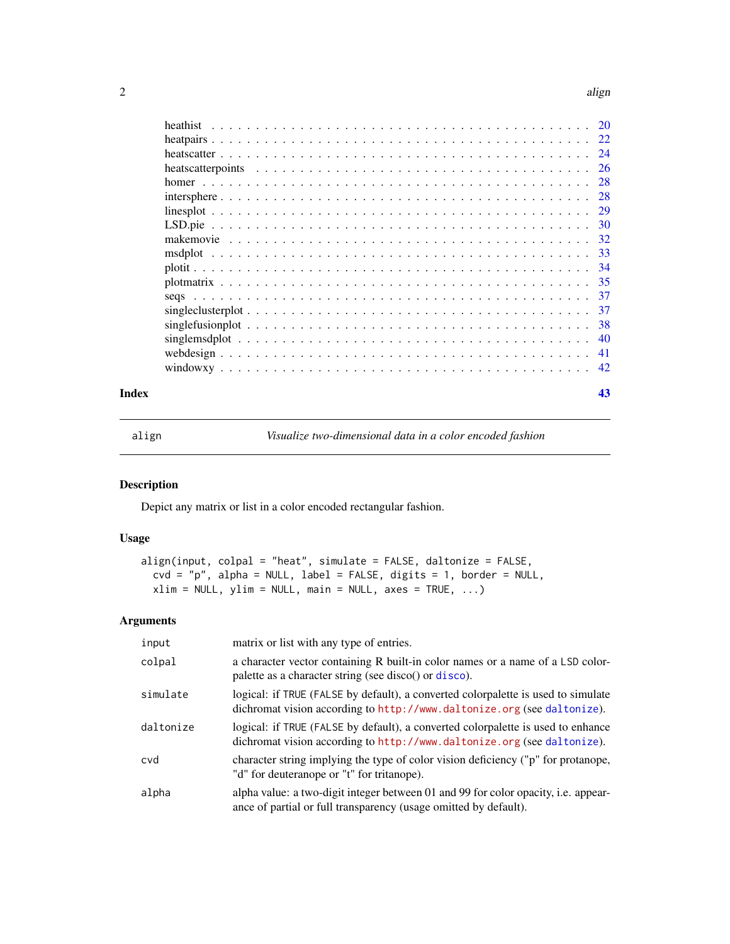#### $2$  align

|                                                                                                                | -26 |
|----------------------------------------------------------------------------------------------------------------|-----|
|                                                                                                                | -28 |
|                                                                                                                | -28 |
|                                                                                                                |     |
|                                                                                                                |     |
|                                                                                                                |     |
|                                                                                                                | -33 |
|                                                                                                                | -34 |
|                                                                                                                | -35 |
|                                                                                                                | 37  |
|                                                                                                                | -37 |
| singlefusion plot $\ldots \ldots \ldots \ldots \ldots \ldots \ldots \ldots \ldots \ldots \ldots \ldots \ldots$ | 38  |
|                                                                                                                | -40 |
|                                                                                                                | -41 |
|                                                                                                                |     |
|                                                                                                                |     |

#### **Index** [43](#page-42-0)

<span id="page-1-1"></span>

align *Visualize two-dimensional data in a color encoded fashion*

## Description

Depict any matrix or list in a color encoded rectangular fashion.

#### Usage

```
align(input, colpal = "heat", simulate = FALSE, daltonize = FALSE,
 cvd = "p", alpha = NULL, label = FALSE, digits = 1, border = NULL,
 xlim = NULL, ylim = NULL, main = NULL, axes = TRUE, ...)
```

| input     | matrix or list with any type of entries.                                                                                                                     |
|-----------|--------------------------------------------------------------------------------------------------------------------------------------------------------------|
| colpal    | a character vector containing R built-in color names or a name of a LSD color-<br>palette as a character string (see disco() or disco).                      |
| simulate  | logical: if TRUE (FALSE by default), a converted colorpalette is used to simulate<br>dichromat vision according to http://www.daltonize.org (see daltonize). |
| daltonize | logical: if TRUE (FALSE by default), a converted colorpalette is used to enhance<br>dichromat vision according to http://www.daltonize.org (see daltonize).  |
| cvd       | character string implying the type of color vision deficiency ("p" for protanope,<br>"d" for deuteranope or "t" for tritanope).                              |
| alpha     | alpha value: a two-digit integer between 01 and 99 for color opacity, i.e. appear-<br>ance of partial or full transparency (usage omitted by default).       |

<span id="page-1-0"></span>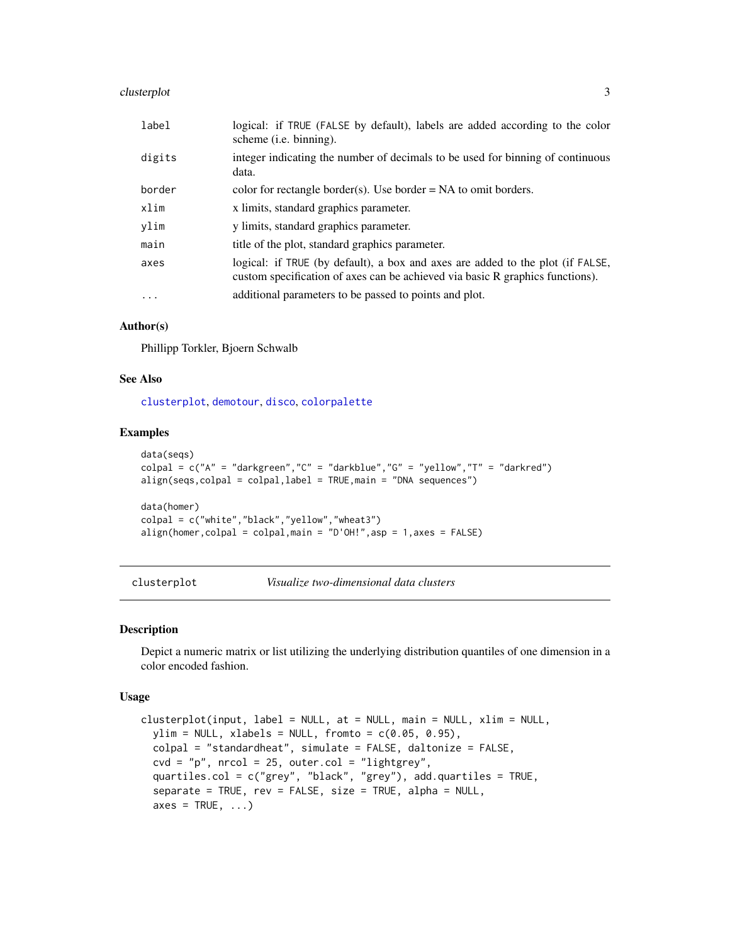## <span id="page-2-0"></span>clusterplot 3

| label   | logical: if TRUE (FALSE by default), labels are added according to the color<br>scheme ( <i>i.e.</i> binning).                                                  |
|---------|-----------------------------------------------------------------------------------------------------------------------------------------------------------------|
| digits  | integer indicating the number of decimals to be used for binning of continuous<br>data.                                                                         |
| border  | color for rectangle border(s). Use border $= NA$ to omit borders.                                                                                               |
| xlim    | x limits, standard graphics parameter.                                                                                                                          |
| ylim    | y limits, standard graphics parameter.                                                                                                                          |
| main    | title of the plot, standard graphics parameter.                                                                                                                 |
| axes    | logical: if TRUE (by default), a box and axes are added to the plot (if FALSE,<br>custom specification of axes can be achieved via basic R graphics functions). |
| $\cdot$ | additional parameters to be passed to points and plot.                                                                                                          |

#### Author(s)

Phillipp Torkler, Bjoern Schwalb

#### See Also

[clusterplot](#page-2-1), [demotour](#page-10-1), [disco](#page-11-1), [colorpalette](#page-4-1)

#### Examples

```
data(seqs)
colpal = c("A" = "darkgreen", "C" = "darkblue", "G" = "yellow", "T" = "darkred")align(seqs,colpal = colpal,label = TRUE,main = "DNA sequences")
data(homer)
colpal = c("white","black","yellow","wheat3")
align(homer,colpal = colpal,main = "D'OH!",asp = 1,axes = FALSE)
```
<span id="page-2-1"></span>clusterplot *Visualize two-dimensional data clusters*

#### Description

Depict a numeric matrix or list utilizing the underlying distribution quantiles of one dimension in a color encoded fashion.

#### Usage

```
clusterplot(input, label = NULL, at = NULL, main = NULL, xlim = NULL,
 ylim = NULL, xlabels = NULL, from to = c(0.05, 0.95),colpal = "standardheat", simulate = FALSE, daltonize = FALSE,
  \text{cvd} = \text{"p", nrcol} = 25, \text{ outer.col} = \text{"lightgrey",}quartiles.col = c("grey", "black", "grey"), add.quartiles = TRUE,
  separate = TRUE, rev = FALSE, size = TRUE, alpha = NULL,
  axes = TRUE, ...
```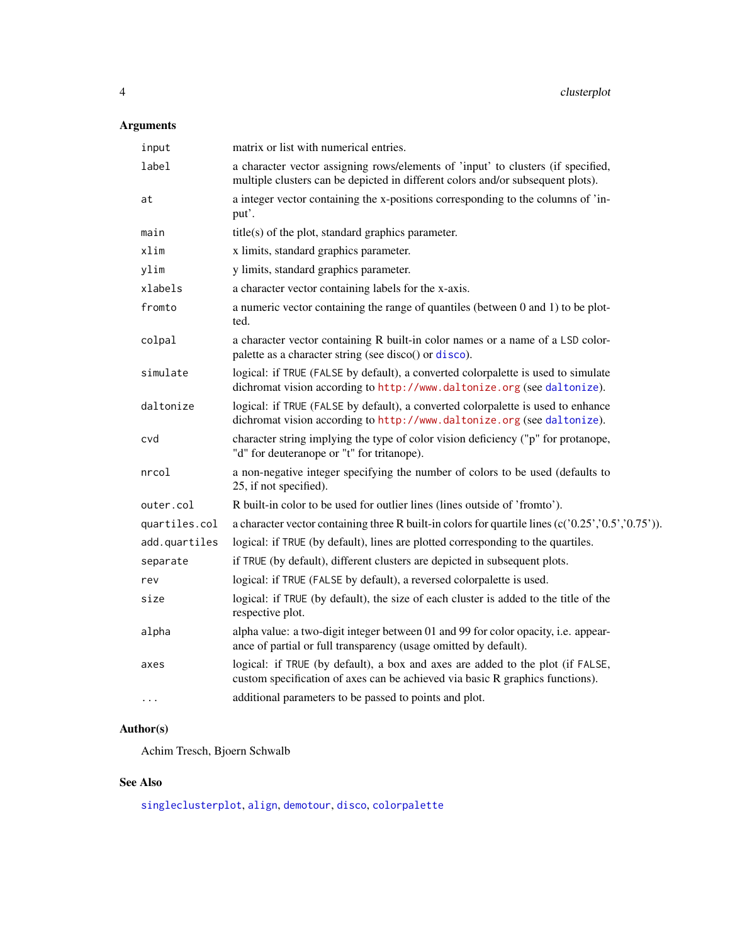## <span id="page-3-0"></span>Arguments

| input         | matrix or list with numerical entries.                                                                                                                              |
|---------------|---------------------------------------------------------------------------------------------------------------------------------------------------------------------|
| label         | a character vector assigning rows/elements of 'input' to clusters (if specified,<br>multiple clusters can be depicted in different colors and/or subsequent plots). |
| at            | a integer vector containing the x-positions corresponding to the columns of 'in-<br>put'.                                                                           |
| main          | $title(s)$ of the plot, standard graphics parameter.                                                                                                                |
| xlim          | x limits, standard graphics parameter.                                                                                                                              |
| ylim          | y limits, standard graphics parameter.                                                                                                                              |
| xlabels       | a character vector containing labels for the x-axis.                                                                                                                |
| fromto        | a numeric vector containing the range of quantiles (between 0 and 1) to be plot-<br>ted.                                                                            |
| colpal        | a character vector containing R built-in color names or a name of a LSD color-<br>palette as a character string (see disco() or disco).                             |
| simulate      | logical: if TRUE (FALSE by default), a converted colorpalette is used to simulate<br>dichromat vision according to http://www.daltonize.org (see daltonize).        |
| daltonize     | logical: if TRUE (FALSE by default), a converted colorpalette is used to enhance<br>dichromat vision according to http://www.daltonize.org (see daltonize).         |
| cvd           | character string implying the type of color vision deficiency ("p" for protanope,<br>"d" for deuteranope or "t" for tritanope).                                     |
| nrcol         | a non-negative integer specifying the number of colors to be used (defaults to<br>25, if not specified).                                                            |
| outer.col     | R built-in color to be used for outlier lines (lines outside of 'fromto').                                                                                          |
| quartiles.col | a character vector containing three R built-in colors for quartile lines $(c('0.25', '0.5', '0.75'))$ .                                                             |
| add.quartiles | logical: if TRUE (by default), lines are plotted corresponding to the quartiles.                                                                                    |
| separate      | if TRUE (by default), different clusters are depicted in subsequent plots.                                                                                          |
| rev           | logical: if TRUE (FALSE by default), a reversed colorpalette is used.                                                                                               |
| size          | logical: if TRUE (by default), the size of each cluster is added to the title of the<br>respective plot.                                                            |
| alpha         | alpha value: a two-digit integer between 01 and 99 for color opacity, i.e. appear-<br>ance of partial or full transparency (usage omitted by default).              |
| axes          | logical: if TRUE (by default), a box and axes are added to the plot (if FALSE,<br>custom specification of axes can be achieved via basic R graphics functions).     |
| .             | additional parameters to be passed to points and plot.                                                                                                              |

## Author(s)

Achim Tresch, Bjoern Schwalb

## See Also

[singleclusterplot](#page-36-1), [align](#page-1-1), [demotour](#page-10-1), [disco](#page-11-1), [colorpalette](#page-4-1)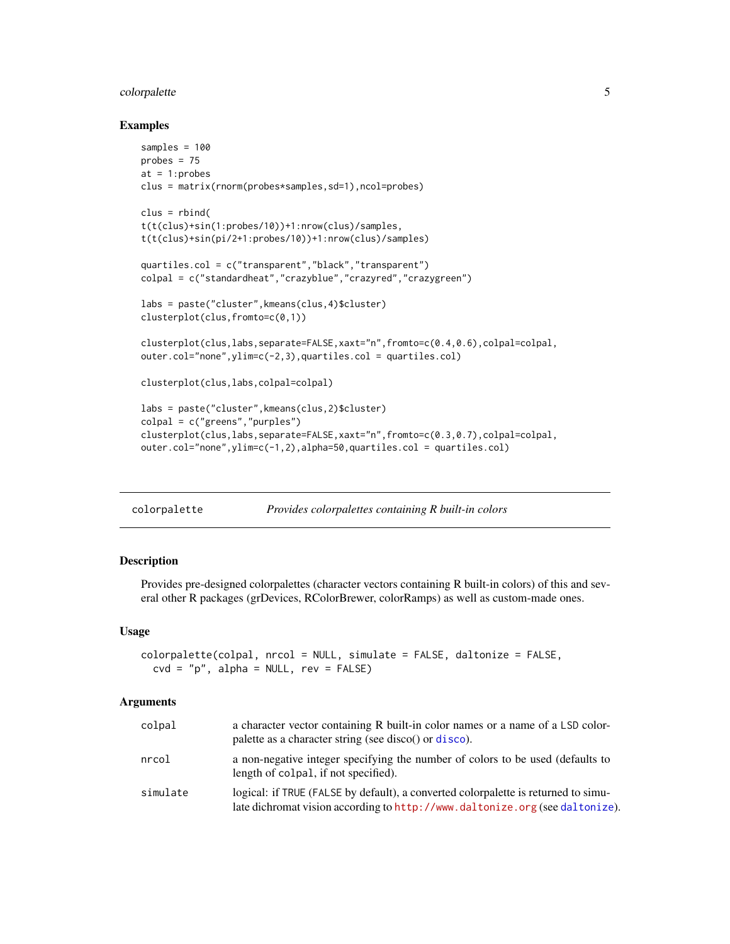#### <span id="page-4-0"></span>colorpalette 5

#### Examples

```
samples = 100
probes = 75at = 1:probes
clus = matrix(rnorm(probes*samples,sd=1),ncol=probes)
clus = rbind(t(t(clus)+sin(1:probes/10))+1:nrow(clus)/samples,
t(t(clus)+sin(pi/2+1:probes/10))+1:nrow(clus)/samples)
quartiles.col = c("transparent","black","transparent")
colpal = c("standardheat","crazyblue","crazyred","crazygreen")
labs = paste("cluster",kmeans(clus,4)$cluster)
clusterplot(clus,fromto=c(0,1))
clusterplot(clus,labs,separate=FALSE,xaxt="n",fromto=c(0.4,0.6),colpal=colpal,
outer.col="none",ylim=c(-2,3),quartiles.col = quartiles.col)
clusterplot(clus,labs,colpal=colpal)
labs = paste("cluster",kmeans(clus,2)$cluster)
colpal = c("greens","purples")
clusterplot(clus,labs,separate=FALSE,xaxt="n",fromto=c(0.3,0.7),colpal=colpal,
outer.col="none",ylim=c(-1,2),alpha=50,quartiles.col = quartiles.col)
```
<span id="page-4-1"></span>

| colorpalette | Provides colorpalettes containing R built-in colors |
|--------------|-----------------------------------------------------|
|              |                                                     |

#### Description

Provides pre-designed colorpalettes (character vectors containing R built-in colors) of this and several other R packages (grDevices, RColorBrewer, colorRamps) as well as custom-made ones.

#### Usage

```
colorpalette(colpal, nrcol = NULL, simulate = FALSE, daltonize = FALSE,
  cvd = "p", alpha = NULL, rev = FALSE)
```

| colpal   | a character vector containing R built-in color names or a name of a LSD color-<br>palette as a character string (see disco() or disco).                            |
|----------|--------------------------------------------------------------------------------------------------------------------------------------------------------------------|
| nrcol    | a non-negative integer specifying the number of colors to be used (defaults to<br>length of colpal, if not specified).                                             |
| simulate | logical: if TRUE (FALSE by default), a converted colorpalette is returned to simu-<br>late dichromat vision according to http://www.daltonize.org (see daltonize). |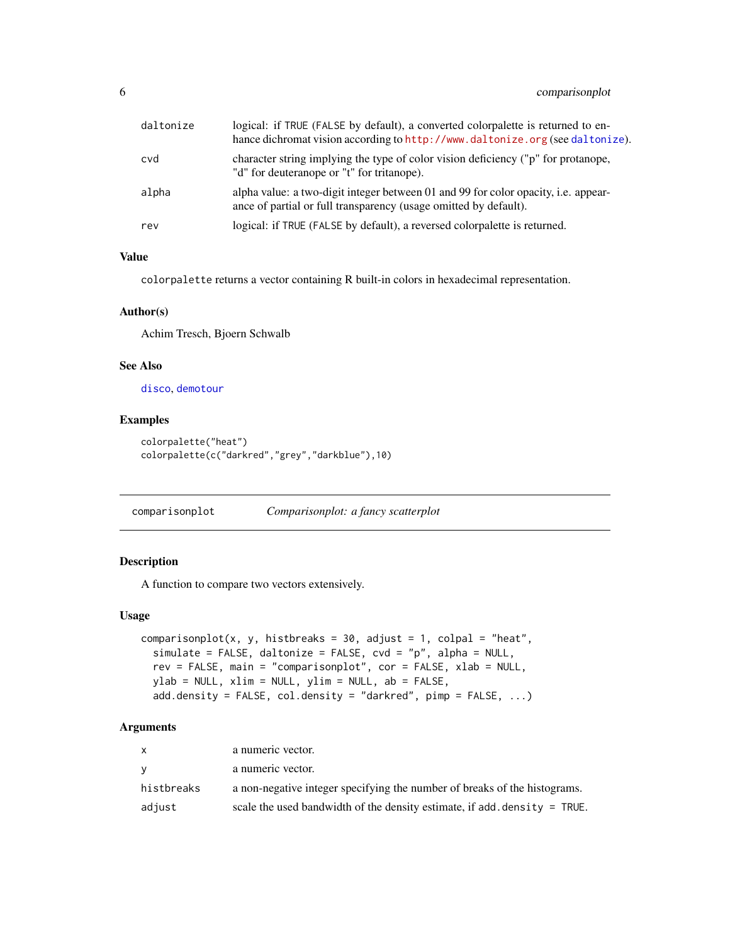## <span id="page-5-0"></span>6 comparisonplot

| daltonize | logical: if TRUE (FALSE by default), a converted colorpalette is returned to en-<br>hance dichromat vision according to http://www.daltonize.org (see daltonize). |
|-----------|-------------------------------------------------------------------------------------------------------------------------------------------------------------------|
| cvd       | character string implying the type of color vision deficiency ("p" for protanope,<br>"d" for deuteranope or "t" for tritanope).                                   |
| alpha     | alpha value: a two-digit integer between 01 and 99 for color opacity, i.e. appear-<br>ance of partial or full transparency (usage omitted by default).            |
| rev       | logical: if TRUE (FALSE by default), a reversed colorpalette is returned.                                                                                         |

#### Value

colorpalette returns a vector containing R built-in colors in hexadecimal representation.

#### Author(s)

Achim Tresch, Bjoern Schwalb

## See Also

[disco](#page-11-1), [demotour](#page-10-1)

## Examples

```
colorpalette("heat")
colorpalette(c("darkred","grey","darkblue"),10)
```
<span id="page-5-1"></span>comparisonplot *Comparisonplot: a fancy scatterplot*

## Description

A function to compare two vectors extensively.

#### Usage

```
comparisonplot(x, y, histbreaks = 30, adjust = 1, colpal = "heat",
  simulate = FALSE, daltonize = FALSE, cvd = "p", alpha = NULL,
  rev = FALSE, main = "comparisonplot", cor = FALSE, xlab = NULL,
 ylab = NULL, xlim = NULL, ylim = NULL, ab = FALSE,
  add.density = FALSE, col.density = "darkred", pimp = FALSE, ...)
```

|            | a numeric vector.                                                         |
|------------|---------------------------------------------------------------------------|
|            | a numeric vector.                                                         |
| histbreaks | a non-negative integer specifying the number of breaks of the histograms. |
| adjust     | scale the used bandwidth of the density estimate, if add density = TRUE.  |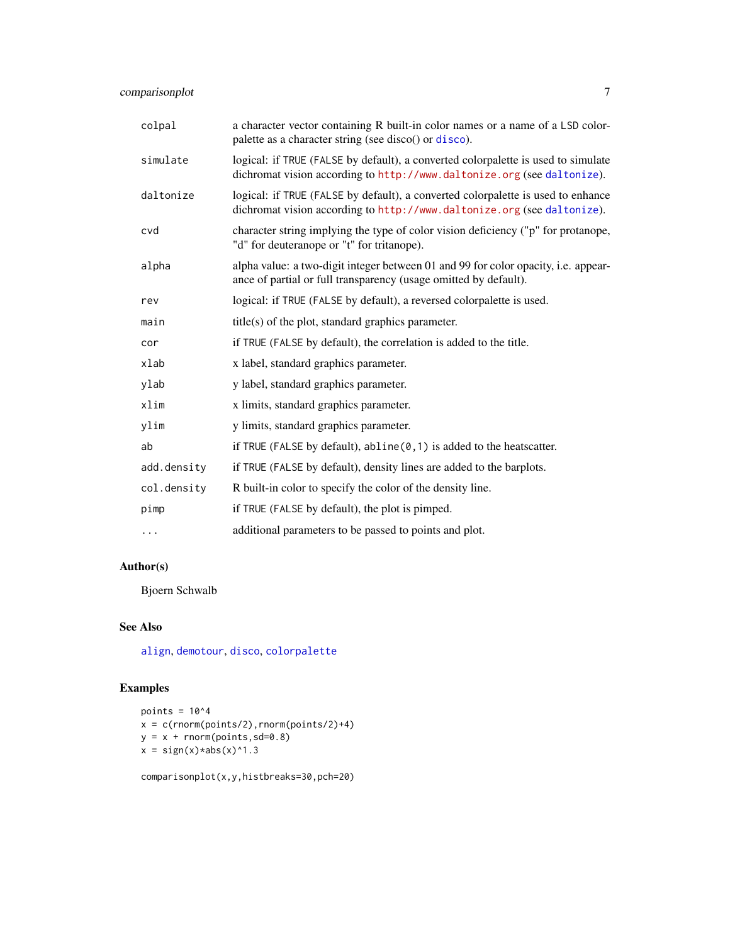<span id="page-6-0"></span>

| colpal      | a character vector containing R built-in color names or a name of a LSD color-<br>palette as a character string (see disco() or disco).                      |
|-------------|--------------------------------------------------------------------------------------------------------------------------------------------------------------|
| simulate    | logical: if TRUE (FALSE by default), a converted colorpalette is used to simulate<br>dichromat vision according to http://www.daltonize.org (see daltonize). |
| daltonize   | logical: if TRUE (FALSE by default), a converted colorpalette is used to enhance<br>dichromat vision according to http://www.daltonize.org (see daltonize).  |
| cvd         | character string implying the type of color vision deficiency ("p" for protanope,<br>"d" for deuteranope or "t" for tritanope).                              |
| alpha       | alpha value: a two-digit integer between 01 and 99 for color opacity, i.e. appear-<br>ance of partial or full transparency (usage omitted by default).       |
| rev         | logical: if TRUE (FALSE by default), a reversed colorpalette is used.                                                                                        |
| main        | $title(s)$ of the plot, standard graphics parameter.                                                                                                         |
| cor         | if TRUE (FALSE by default), the correlation is added to the title.                                                                                           |
| xlab        | x label, standard graphics parameter.                                                                                                                        |
| ylab        | y label, standard graphics parameter.                                                                                                                        |
| xlim        | x limits, standard graphics parameter.                                                                                                                       |
| ylim        | y limits, standard graphics parameter.                                                                                                                       |
| ab          | if TRUE (FALSE by default), $abline(0, 1)$ is added to the heatscatter.                                                                                      |
| add.density | if TRUE (FALSE by default), density lines are added to the barplots.                                                                                         |
| col.density | R built-in color to specify the color of the density line.                                                                                                   |
| pimp        | if TRUE (FALSE by default), the plot is pimped.                                                                                                              |
| $\cdots$    | additional parameters to be passed to points and plot.                                                                                                       |

## Author(s)

Bjoern Schwalb

## See Also

[align](#page-1-1), [demotour](#page-10-1), [disco](#page-11-1), [colorpalette](#page-4-1)

## Examples

```
points = 10^4x = c(rnorm(points/2), rnorm(points/2)+4)y = x + \text{norm}(points, sd=0.8)x = sign(x)*abs(x)*1.3
```
comparisonplot(x,y,histbreaks=30,pch=20)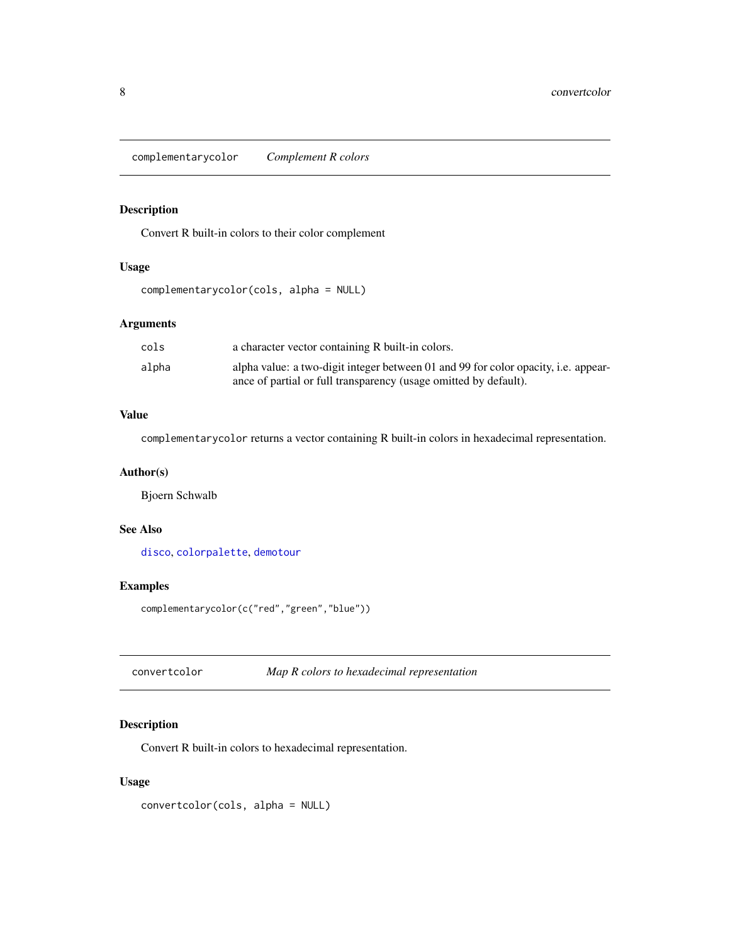<span id="page-7-0"></span>complementarycolor *Complement R colors*

## Description

Convert R built-in colors to their color complement

#### Usage

```
complementarycolor(cols, alpha = NULL)
```
## Arguments

| cols  | a character vector containing R built-in colors.                                   |
|-------|------------------------------------------------------------------------------------|
| alpha | alpha value: a two-digit integer between 01 and 99 for color opacity, i.e. appear- |
|       | ance of partial or full transparency (usage omitted by default).                   |

#### Value

complementarycolor returns a vector containing R built-in colors in hexadecimal representation.

#### Author(s)

Bjoern Schwalb

#### See Also

[disco](#page-11-1), [colorpalette](#page-4-1), [demotour](#page-10-1)

## Examples

complementarycolor(c("red","green","blue"))

convertcolor *Map R colors to hexadecimal representation*

## Description

Convert R built-in colors to hexadecimal representation.

#### Usage

convertcolor(cols, alpha = NULL)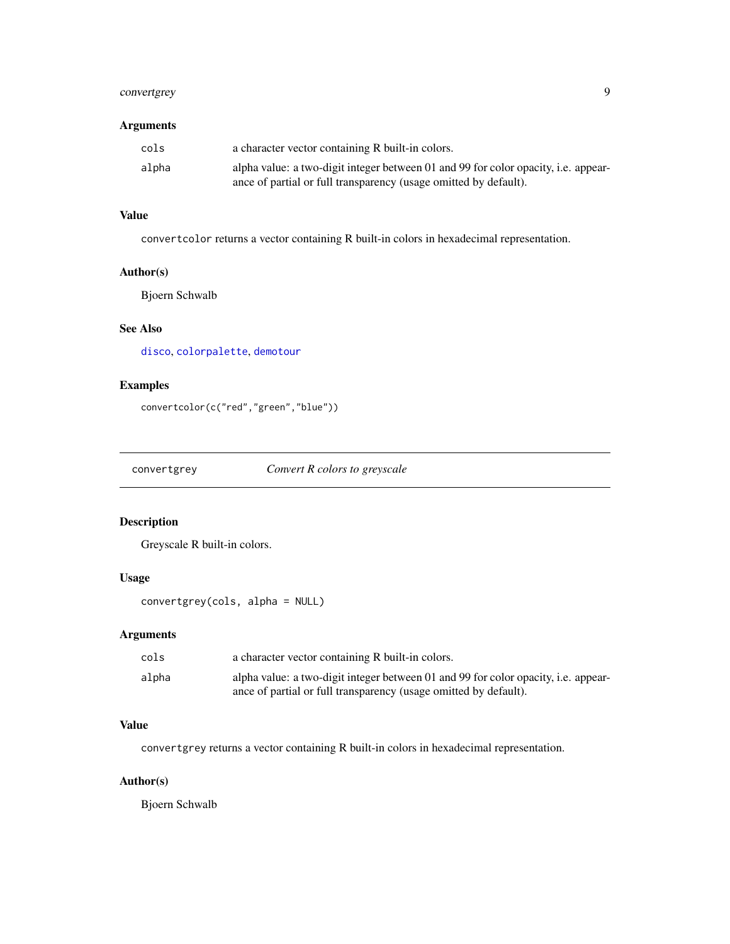## <span id="page-8-0"></span>convertgrey 9

## Arguments

| cols  | a character vector containing R built-in colors.                                   |
|-------|------------------------------------------------------------------------------------|
| alpha | alpha value: a two-digit integer between 01 and 99 for color opacity, i.e. appear- |
|       | ance of partial or full transparency (usage omitted by default).                   |

## Value

convertcolor returns a vector containing R built-in colors in hexadecimal representation.

## Author(s)

Bjoern Schwalb

## See Also

[disco](#page-11-1), [colorpalette](#page-4-1), [demotour](#page-10-1)

## Examples

```
convertcolor(c("red","green","blue"))
```
convertgrey *Convert R colors to greyscale*

## Description

Greyscale R built-in colors.

## Usage

convertgrey(cols, alpha = NULL)

## Arguments

| cols  | a character vector containing R built-in colors.                                   |
|-------|------------------------------------------------------------------------------------|
| alpha | alpha value: a two-digit integer between 01 and 99 for color opacity, i.e. appear- |
|       | ance of partial or full transparency (usage omitted by default).                   |

#### Value

convertgrey returns a vector containing R built-in colors in hexadecimal representation.

## Author(s)

Bjoern Schwalb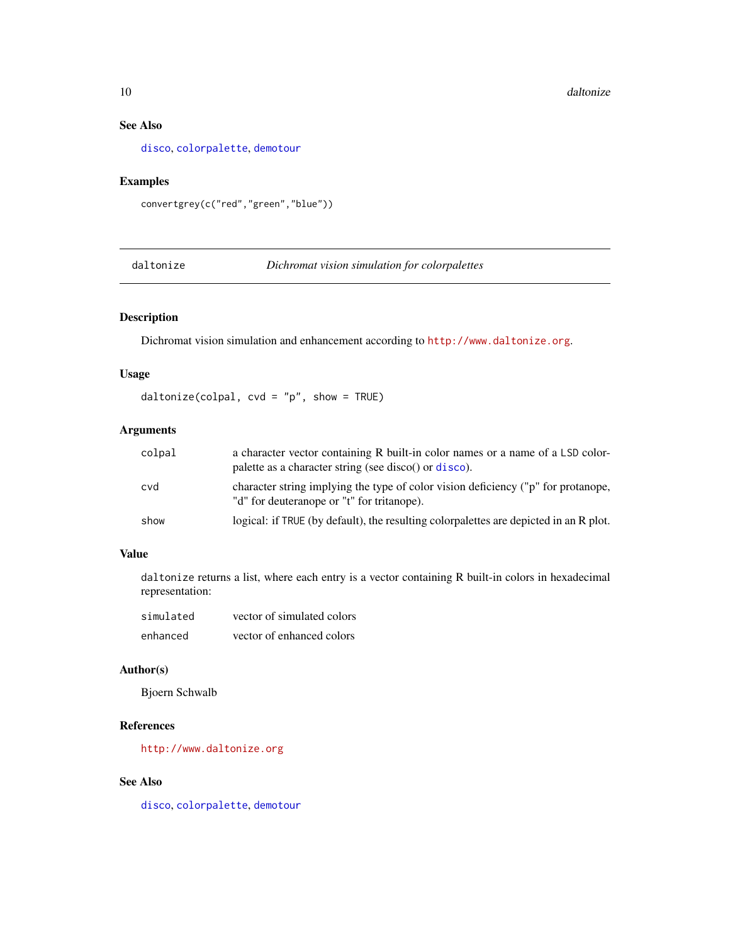## See Also

[disco](#page-11-1), [colorpalette](#page-4-1), [demotour](#page-10-1)

## Examples

convertgrey(c("red","green","blue"))

<span id="page-9-1"></span>daltonize *Dichromat vision simulation for colorpalettes*

## Description

Dichromat vision simulation and enhancement according to <http://www.daltonize.org>.

## Usage

daltonize(colpal,  $cvd = "p", show = TRUE)$ 

## Arguments

| colpal | a character vector containing R built-in color names or a name of a LSD color-<br>palette as a character string (see disco() or disco). |
|--------|-----------------------------------------------------------------------------------------------------------------------------------------|
| cvd    | character string implying the type of color vision deficiency ("p" for protanope,<br>"d" for deuteranope or "t" for tritanope).         |
| show   | logical: if TRUE (by default), the resulting colorpalettes are depicted in an R plot.                                                   |

## Value

daltonize returns a list, where each entry is a vector containing R built-in colors in hexadecimal representation:

| simulated | vector of simulated colors |
|-----------|----------------------------|
| enhanced  | vector of enhanced colors  |

#### Author(s)

Bjoern Schwalb

#### References

<http://www.daltonize.org>

## See Also

[disco](#page-11-1), [colorpalette](#page-4-1), [demotour](#page-10-1)

<span id="page-9-0"></span>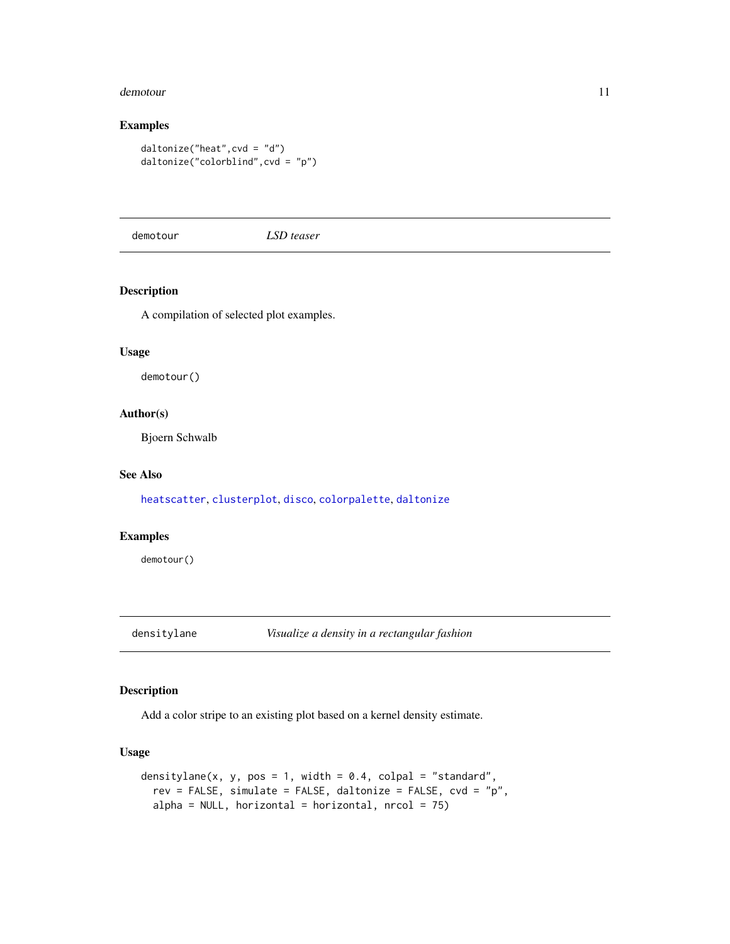#### <span id="page-10-0"></span>demotour and the set of the set of the set of the set of the set of the set of the set of the set of the set of the set of the set of the set of the set of the set of the set of the set of the set of the set of the set of

## Examples

```
daltonize("heat",cvd = "d")
daltonize("colorblind",cvd = "p")
```
<span id="page-10-1"></span>demotour *LSD teaser*

#### Description

A compilation of selected plot examples.

#### Usage

demotour()

#### Author(s)

Bjoern Schwalb

#### See Also

[heatscatter](#page-23-1), [clusterplot](#page-2-1), [disco](#page-11-1), [colorpalette](#page-4-1), [daltonize](#page-9-1)

## Examples

demotour()

densitylane *Visualize a density in a rectangular fashion*

#### Description

Add a color stripe to an existing plot based on a kernel density estimate.

#### Usage

```
densitylane(x, y, pos = 1, width = 0.4, colpal = "standard",
  rev = FALSE, simulate = FALSE, daltonize = FALSE, cvd = "p",
  alpha = NULL, horizontal = horizontal, nrcol = 75)
```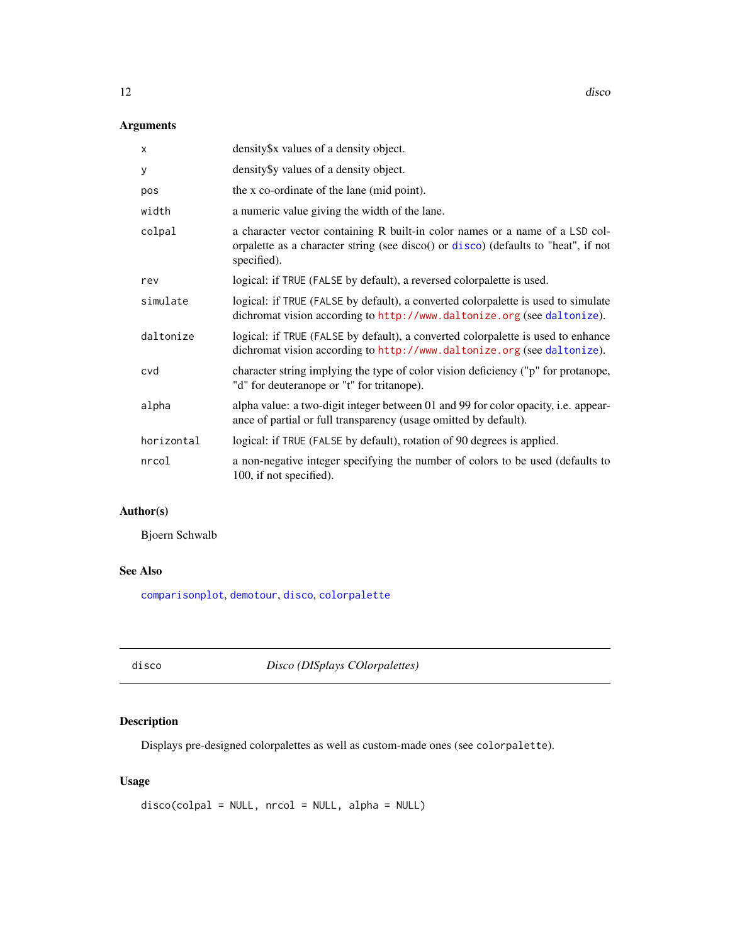## <span id="page-11-0"></span>Arguments

| $\times$   | density\$x values of a density object.                                                                                                                                            |
|------------|-----------------------------------------------------------------------------------------------------------------------------------------------------------------------------------|
| У          | density \$y values of a density object.                                                                                                                                           |
| pos        | the x co-ordinate of the lane (mid point).                                                                                                                                        |
| width      | a numeric value giving the width of the lane.                                                                                                                                     |
| colpal     | a character vector containing R built-in color names or a name of a LSD col-<br>orpalette as a character string (see disco() or disco) (defaults to "heat", if not<br>specified). |
| rev        | logical: if TRUE (FALSE by default), a reversed colorpalette is used.                                                                                                             |
| simulate   | logical: if TRUE (FALSE by default), a converted colorpalette is used to simulate<br>dichromat vision according to http://www.daltonize.org (see daltonize).                      |
| daltonize  | logical: if TRUE (FALSE by default), a converted colorpalette is used to enhance<br>dichromat vision according to http://www.daltonize.org (see daltonize).                       |
| cvd        | character string implying the type of color vision deficiency ("p" for protanope,<br>"d" for deuteranope or "t" for tritanope).                                                   |
| alpha      | alpha value: a two-digit integer between 01 and 99 for color opacity, i.e. appear-<br>ance of partial or full transparency (usage omitted by default).                            |
| horizontal | logical: if TRUE (FALSE by default), rotation of 90 degrees is applied.                                                                                                           |
| nrcol      | a non-negative integer specifying the number of colors to be used (defaults to<br>100, if not specified).                                                                         |

## Author(s)

Bjoern Schwalb

## See Also

[comparisonplot](#page-5-1), [demotour](#page-10-1), [disco](#page-11-1), [colorpalette](#page-4-1)

<span id="page-11-1"></span>disco *Disco (DISplays COlorpalettes)*

## Description

Displays pre-designed colorpalettes as well as custom-made ones (see colorpalette).

## Usage

```
disco(colpal = NULL, nrcol = NULL, alpha = NULL)
```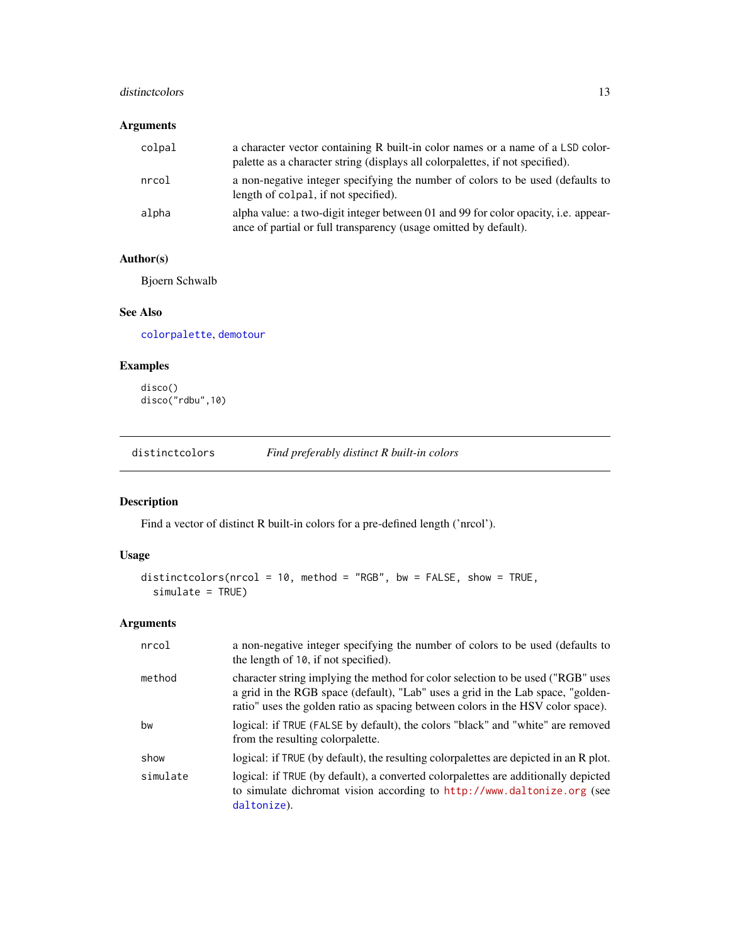#### <span id="page-12-0"></span>distinctcolors and the set of the set of the set of the set of the set of the set of the set of the set of the set of the set of the set of the set of the set of the set of the set of the set of the set of the set of the s

## Arguments

| colpal | a character vector containing R built-in color names or a name of a LSD color-<br>palette as a character string (displays all colorpalettes, if not specified). |
|--------|-----------------------------------------------------------------------------------------------------------------------------------------------------------------|
| nrcol  | a non-negative integer specifying the number of colors to be used (defaults to<br>length of colpal, if not specified).                                          |
| alpha  | alpha value: a two-digit integer between 01 and 99 for color opacity, i.e. appear-<br>ance of partial or full transparency (usage omitted by default).          |

## Author(s)

Bjoern Schwalb

#### See Also

[colorpalette](#page-4-1), [demotour](#page-10-1)

## Examples

disco() disco("rdbu",10)

distinctcolors *Find preferably distinct R built-in colors*

## Description

Find a vector of distinct R built-in colors for a pre-defined length ('nrcol').

## Usage

```
distinctcolors(nrcol = 10, method = "RGB", bw = FALSE, show = TRUE,
 simulate = TRUE)
```

| nrcol    | a non-negative integer specifying the number of colors to be used (defaults to<br>the length of 10, if not specified).                                                                                                                                |
|----------|-------------------------------------------------------------------------------------------------------------------------------------------------------------------------------------------------------------------------------------------------------|
| method   | character string implying the method for color selection to be used ("RGB" uses<br>a grid in the RGB space (default), "Lab" uses a grid in the Lab space, "golden-<br>ratio" uses the golden ratio as spacing between colors in the HSV color space). |
| bw       | logical: if TRUE (FALSE by default), the colors "black" and "white" are removed<br>from the resulting colorpalette.                                                                                                                                   |
| show     | logical: if TRUE (by default), the resulting colorpalettes are depicted in an R plot.                                                                                                                                                                 |
| simulate | logical: if TRUE (by default), a converted colorpalettes are additionally depicted<br>to simulate dichromat vision according to http://www.daltonize.org (see<br>daltonize).                                                                          |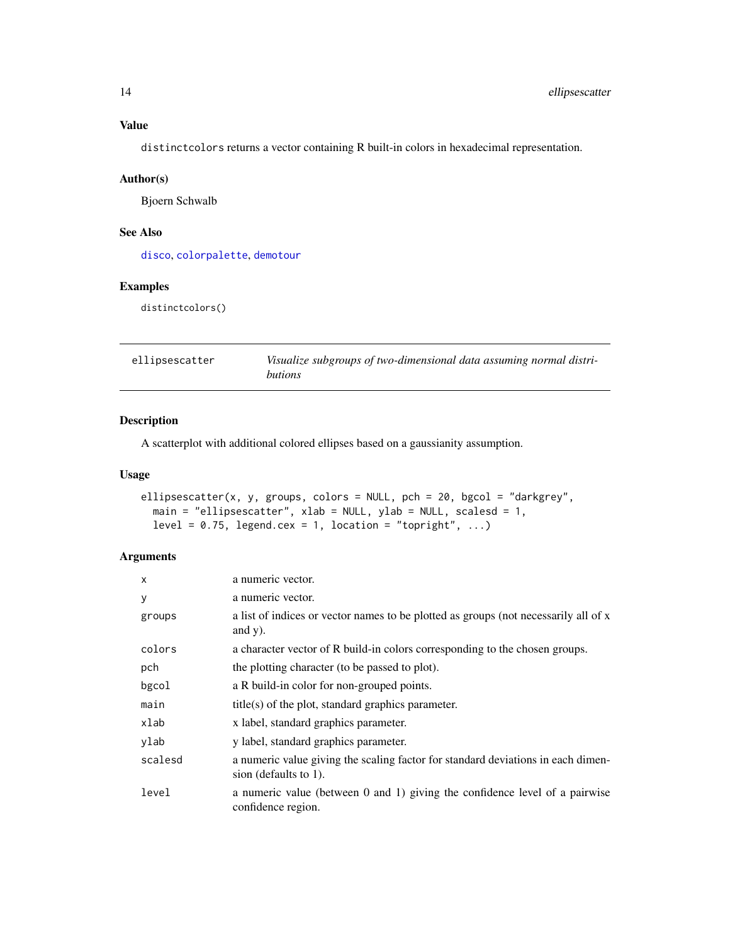distinctcolors returns a vector containing R built-in colors in hexadecimal representation.

#### Author(s)

Bjoern Schwalb

## See Also

[disco](#page-11-1), [colorpalette](#page-4-1), [demotour](#page-10-1)

## Examples

distinctcolors()

| ellipsescatter | Visualize subgroups of two-dimensional data assuming normal distri- |
|----------------|---------------------------------------------------------------------|
|                | <i>butions</i>                                                      |

## Description

A scatterplot with additional colored ellipses based on a gaussianity assumption.

#### Usage

```
ellipsescatter(x, y, groups, colors = NULL, pch = 20, bgcol = "darkgrey",
 main = "ellipsescatter", xlab = NULL, ylab = NULL, scalesd = 1,
  level = 0.75, legend.cex = 1, location = "topright", ...)
```

| X       | a numeric vector.                                                                                            |
|---------|--------------------------------------------------------------------------------------------------------------|
| y       | a numeric vector.                                                                                            |
| groups  | a list of indices or vector names to be plotted as groups (not necessarily all of x<br>and $y)$ .            |
| colors  | a character vector of R build-in colors corresponding to the chosen groups.                                  |
| pch     | the plotting character (to be passed to plot).                                                               |
| bgcol   | a R build-in color for non-grouped points.                                                                   |
| main    | $title(s)$ of the plot, standard graphics parameter.                                                         |
| xlab    | x label, standard graphics parameter.                                                                        |
| ylab    | y label, standard graphics parameter.                                                                        |
| scalesd | a numeric value giving the scaling factor for standard deviations in each dimen-<br>sion (defaults to $1$ ). |
| level   | a numeric value (between $0$ and $1$ ) giving the confidence level of a pairwise<br>confidence region.       |

<span id="page-13-0"></span>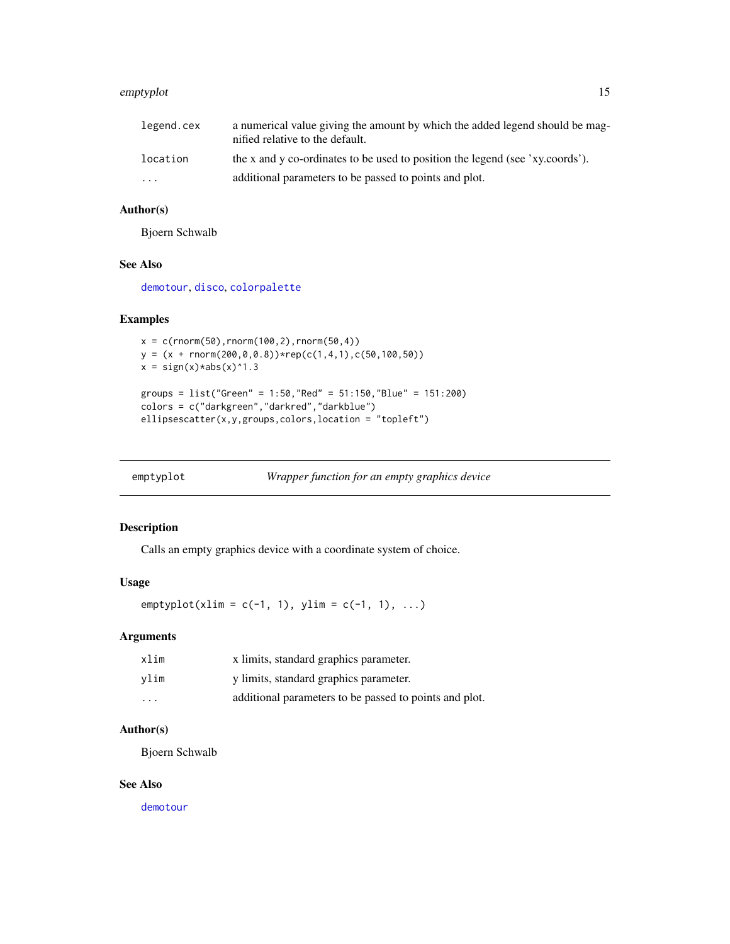#### <span id="page-14-0"></span>emptyplot that the contract of the contract of the contract of the contract of the contract of the contract of the contract of the contract of the contract of the contract of the contract of the contract of the contract of

| legend.cex              | a numerical value giving the amount by which the added legend should be mag-<br>nified relative to the default. |
|-------------------------|-----------------------------------------------------------------------------------------------------------------|
| location                | the x and y co-ordinates to be used to position the legend (see 'xy.coords').                                   |
| $\cdot$ $\cdot$ $\cdot$ | additional parameters to be passed to points and plot.                                                          |

## Author(s)

Bjoern Schwalb

#### See Also

[demotour](#page-10-1), [disco](#page-11-1), [colorpalette](#page-4-1)

#### Examples

```
x = c(rnorm(50), rnorm(100, 2), rnorm(50, 4))y = (x + rnorm(200, 0, 0.8)) * rep(c(1, 4, 1), c(50, 100, 50))x = sign(x)*abs(x)*1.3groups = list("Green" = 1:50,"Red" = 51:150,"Blue" = 151:200)
colors = c("darkgreen","darkred","darkblue")
ellipsescatter(x,y,groups,colors,location = "topleft")
```

| emptyplot |  | Wrapper function for an empty graphics device |
|-----------|--|-----------------------------------------------|
|           |  |                                               |

#### Description

Calls an empty graphics device with a coordinate system of choice.

#### Usage

 $emptyplot(xlim = c(-1, 1), ylim = c(-1, 1), ...)$ 

#### Arguments

| xlim                    | x limits, standard graphics parameter.                 |
|-------------------------|--------------------------------------------------------|
| vlim                    | y limits, standard graphics parameter.                 |
| $\cdot$ $\cdot$ $\cdot$ | additional parameters to be passed to points and plot. |

## Author(s)

Bjoern Schwalb

#### See Also

[demotour](#page-10-1)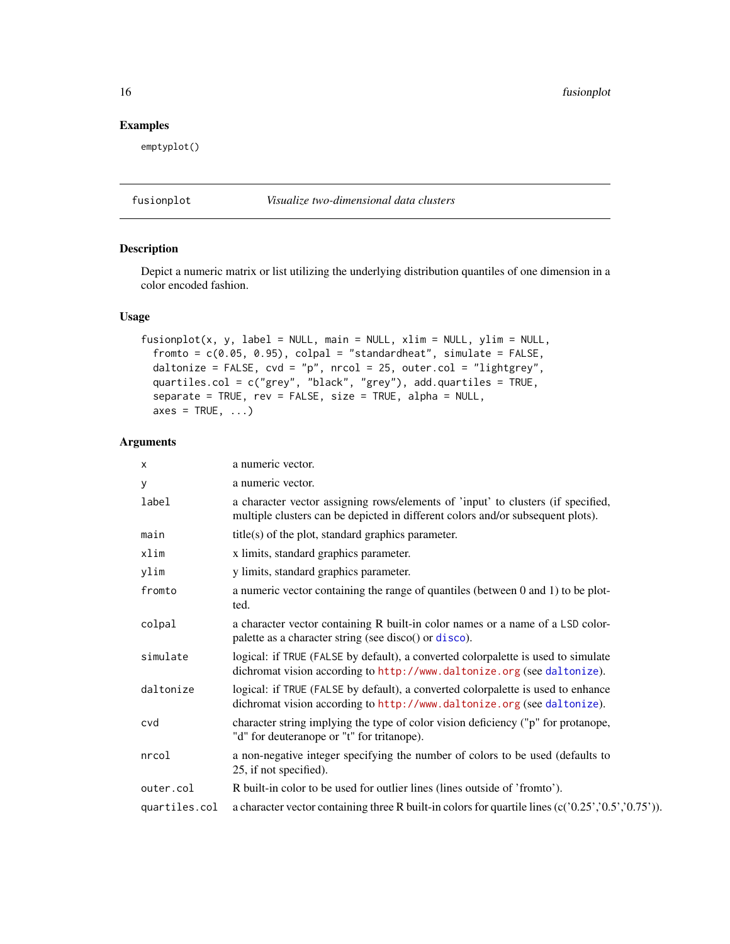<span id="page-15-0"></span>16 fusionplot

#### Examples

emptyplot()

<span id="page-15-1"></span>fusionplot *Visualize two-dimensional data clusters*

## Description

Depict a numeric matrix or list utilizing the underlying distribution quantiles of one dimension in a color encoded fashion.

## Usage

```
fusionplot(x, y, label = NULL, main = NULL, xlim = NULL, ylim = NULL,
  fromto = c(0.05, 0.95), colpal = "standardheat", simulate = FALSE,
  daltonize = FALSE, cvd = "p", nrcol = 25, outer.col = "lightgrey",
 quartiles.col = c("grey", "black", "grey"), add.quartiles = TRUE,
  separate = TRUE, rev = FALSE, size = TRUE, alpha = NULL,
  axes = TRUE, \ldots)
```

| X             | a numeric vector.                                                                                                                                                   |  |
|---------------|---------------------------------------------------------------------------------------------------------------------------------------------------------------------|--|
| У             | a numeric vector.                                                                                                                                                   |  |
| label         | a character vector assigning rows/elements of 'input' to clusters (if specified,<br>multiple clusters can be depicted in different colors and/or subsequent plots). |  |
| main          | $title(s)$ of the plot, standard graphics parameter.                                                                                                                |  |
| xlim          | x limits, standard graphics parameter.                                                                                                                              |  |
| ylim          | y limits, standard graphics parameter.                                                                                                                              |  |
| fromto        | a numeric vector containing the range of quantiles (between 0 and 1) to be plot-<br>ted.                                                                            |  |
| colpal        | a character vector containing R built-in color names or a name of a LSD color-<br>palette as a character string (see disco() or disco).                             |  |
| simulate      | logical: if TRUE (FALSE by default), a converted colorpalette is used to simulate<br>dichromat vision according to http://www.daltonize.org (see daltonize).        |  |
| daltonize     | logical: if TRUE (FALSE by default), a converted colorpalette is used to enhance<br>dichromat vision according to http://www.daltonize.org (see daltonize).         |  |
| cvd           | character string implying the type of color vision deficiency ("p" for protanope,<br>"d" for deuteranope or "t" for tritanope).                                     |  |
| nrcol         | a non-negative integer specifying the number of colors to be used (defaults to<br>25, if not specified).                                                            |  |
| outer.col     | R built-in color to be used for outlier lines (lines outside of 'fromto').                                                                                          |  |
| quartiles.col | a character vector containing three R built-in colors for quartile lines $(c('0.25', '0.5', '0.75'))$ .                                                             |  |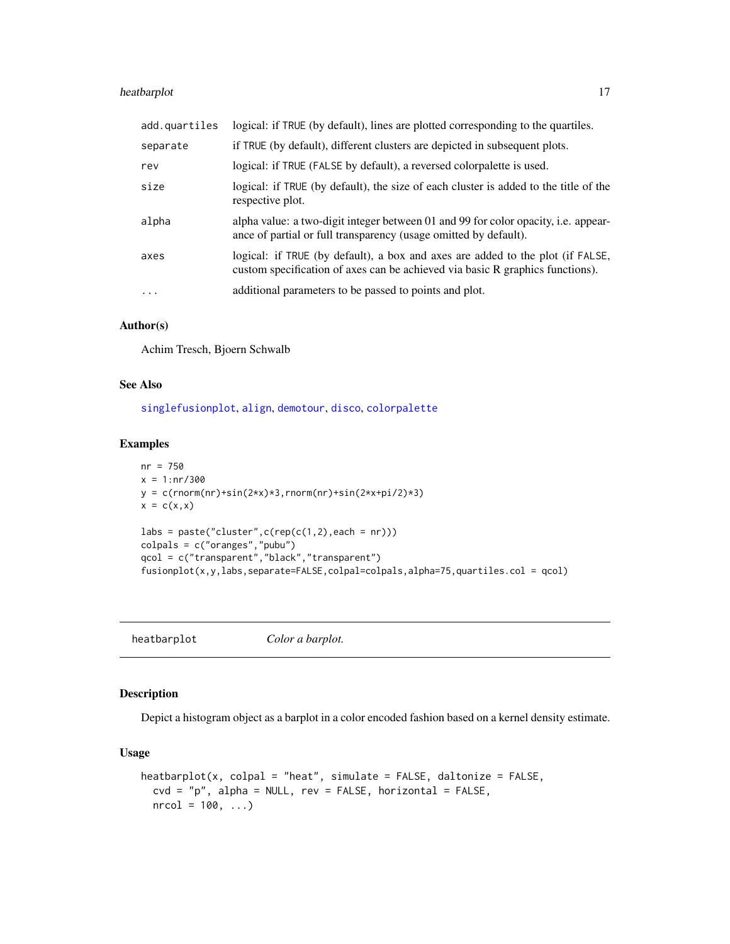## <span id="page-16-0"></span>heatbarplot 17

| add.quartiles     | logical: if TRUE (by default), lines are plotted corresponding to the quartiles.                                                                                |
|-------------------|-----------------------------------------------------------------------------------------------------------------------------------------------------------------|
| separate          | if TRUE (by default), different clusters are depicted in subsequent plots.                                                                                      |
| rev               | logical: if TRUE (FALSE by default), a reversed colorpalette is used.                                                                                           |
| size              | logical: if TRUE (by default), the size of each cluster is added to the title of the<br>respective plot.                                                        |
| alpha             | alpha value: a two-digit integer between 01 and 99 for color opacity, i.e. appear-<br>ance of partial or full transparency (usage omitted by default).          |
| axes              | logical: if TRUE (by default), a box and axes are added to the plot (if FALSE,<br>custom specification of axes can be achieved via basic R graphics functions). |
| $\cdot\cdot\cdot$ | additional parameters to be passed to points and plot.                                                                                                          |

#### Author(s)

Achim Tresch, Bjoern Schwalb

#### See Also

[singlefusionplot](#page-37-1), [align](#page-1-1), [demotour](#page-10-1), [disco](#page-11-1), [colorpalette](#page-4-1)

#### Examples

```
nr = 750
x = 1:nr/300y = c(rnorm(nr) + sin(2*x)*3, rnorm(nr) + sin(2*x+pi/2)*3)x = c(x,x)\text{labels} = \text{past}( \text{"cluster", c}(\text{rep}(c(1,2), \text{each} = nr)))colpals = c("oranges","pubu")
qcol = c("transparent","black","transparent")
fusionplot(x,y,labs,separate=FALSE,colpal=colpals,alpha=75,quartiles.col = qcol)
```
heatbarplot *Color a barplot.*

#### Description

Depict a histogram object as a barplot in a color encoded fashion based on a kernel density estimate.

#### Usage

```
heatbarplot(x, colpal = "heat", simulate = FALSE, daltonize = FALSE,
 cvd = "p", alpha = NULL, rev = FALSE, horizontal = FALSE,nrcol = 100, ...
```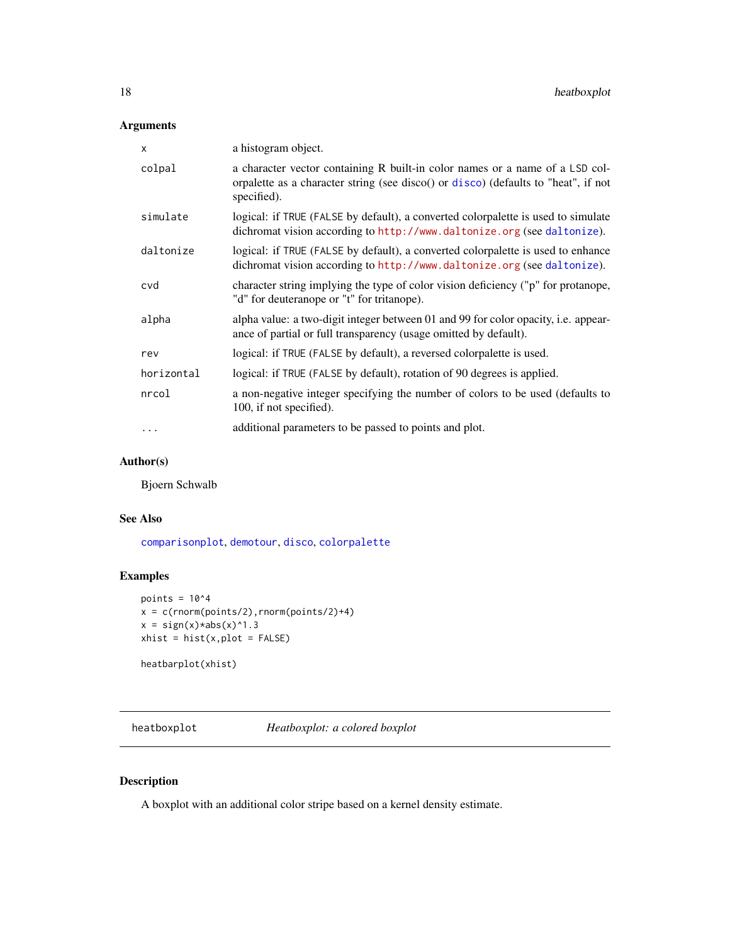## <span id="page-17-0"></span>Arguments

| X          | a histogram object.                                                                                                                                                               |
|------------|-----------------------------------------------------------------------------------------------------------------------------------------------------------------------------------|
| colpal     | a character vector containing R built-in color names or a name of a LSD col-<br>orpalette as a character string (see disco() or disco) (defaults to "heat", if not<br>specified). |
| simulate   | logical: if TRUE (FALSE by default), a converted colorpalette is used to simulate<br>dichromat vision according to http://www.daltonize.org (see daltonize).                      |
| daltonize  | logical: if TRUE (FALSE by default), a converted colorpalette is used to enhance<br>dichromat vision according to http://www.daltonize.org (see daltonize).                       |
| cvd        | character string implying the type of color vision deficiency ("p" for protanope,<br>"d" for deuteranope or "t" for tritanope).                                                   |
| alpha      | alpha value: a two-digit integer between 01 and 99 for color opacity, i.e. appear-<br>ance of partial or full transparency (usage omitted by default).                            |
| rev        | logical: if TRUE (FALSE by default), a reversed colorpalette is used.                                                                                                             |
| horizontal | logical: if TRUE (FALSE by default), rotation of 90 degrees is applied.                                                                                                           |
| nrcol      | a non-negative integer specifying the number of colors to be used (defaults to<br>100, if not specified).                                                                         |
|            | additional parameters to be passed to points and plot.                                                                                                                            |

#### Author(s)

Bjoern Schwalb

#### See Also

[comparisonplot](#page-5-1), [demotour](#page-10-1), [disco](#page-11-1), [colorpalette](#page-4-1)

## Examples

```
points = 10^4x = c(rnorm(points/2), rnorm(points/2)+4)x = sign(x)*abs(x)*1.3xhist = hist(x, plot = FALSE)
```
heatbarplot(xhist)

heatboxplot *Heatboxplot: a colored boxplot*

## Description

A boxplot with an additional color stripe based on a kernel density estimate.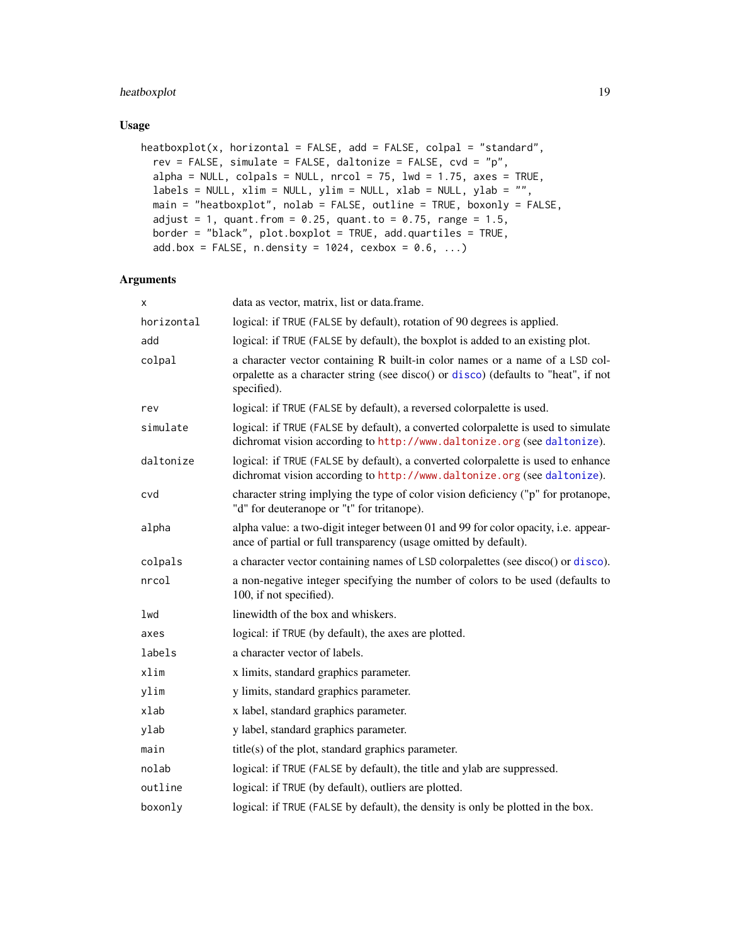## <span id="page-18-0"></span>heatboxplot 19

#### Usage

```
heatboxplot(x, horizontal = FALSE, add = FALSE, colpal = "standard",
  rev = FALSE, simulate = FALSE, daltonize = FALSE, cvd = "p",
  alpha = NULL, colpals = NULL, nrcol = 75, lwd = 1.75, axes = TRUE,
  labels = NULL, xlim = NULL, ylim = NULL, xlab = NULL, ylab = "",main = "heatboxplot", nolab = FALSE, outline = TRUE, boxonly = FALSE,
  adjust = 1, quant.from = 0.25, quant.to = 0.75, range = 1.5,
  border = "black", plot.boxplot = TRUE, add.quartiles = TRUE,
  add.box = FALSE, n.density = 1024, cexbox = 0.6, ...)
```

| x          | data as vector, matrix, list or data.frame.                                                                                                                                       |
|------------|-----------------------------------------------------------------------------------------------------------------------------------------------------------------------------------|
| horizontal | logical: if TRUE (FALSE by default), rotation of 90 degrees is applied.                                                                                                           |
| add        | logical: if TRUE (FALSE by default), the boxplot is added to an existing plot.                                                                                                    |
| colpal     | a character vector containing R built-in color names or a name of a LSD col-<br>orpalette as a character string (see disco() or disco) (defaults to "heat", if not<br>specified). |
| rev        | logical: if TRUE (FALSE by default), a reversed colorpalette is used.                                                                                                             |
| simulate   | logical: if TRUE (FALSE by default), a converted colorpalette is used to simulate<br>dichromat vision according to http://www.daltonize.org (see daltonize).                      |
| daltonize  | logical: if TRUE (FALSE by default), a converted colorpalette is used to enhance<br>dichromat vision according to http://www.daltonize.org (see daltonize).                       |
| cvd        | character string implying the type of color vision deficiency ("p" for protanope,<br>"d" for deuteranope or "t" for tritanope).                                                   |
| alpha      | alpha value: a two-digit integer between 01 and 99 for color opacity, i.e. appear-<br>ance of partial or full transparency (usage omitted by default).                            |
| colpals    | a character vector containing names of LSD colorpalettes (see disco() or disco).                                                                                                  |
| nrcol      | a non-negative integer specifying the number of colors to be used (defaults to<br>100, if not specified).                                                                         |
| lwd        | linewidth of the box and whiskers.                                                                                                                                                |
| axes       | logical: if TRUE (by default), the axes are plotted.                                                                                                                              |
| labels     | a character vector of labels.                                                                                                                                                     |
| xlim       | x limits, standard graphics parameter.                                                                                                                                            |
| ylim       | y limits, standard graphics parameter.                                                                                                                                            |
| xlab       | x label, standard graphics parameter.                                                                                                                                             |
| ylab       | y label, standard graphics parameter.                                                                                                                                             |
| main       | $title(s)$ of the plot, standard graphics parameter.                                                                                                                              |
| nolab      | logical: if TRUE (FALSE by default), the title and ylab are suppressed.                                                                                                           |
| outline    | logical: if TRUE (by default), outliers are plotted.                                                                                                                              |
| boxonly    | logical: if TRUE (FALSE by default), the density is only be plotted in the box.                                                                                                   |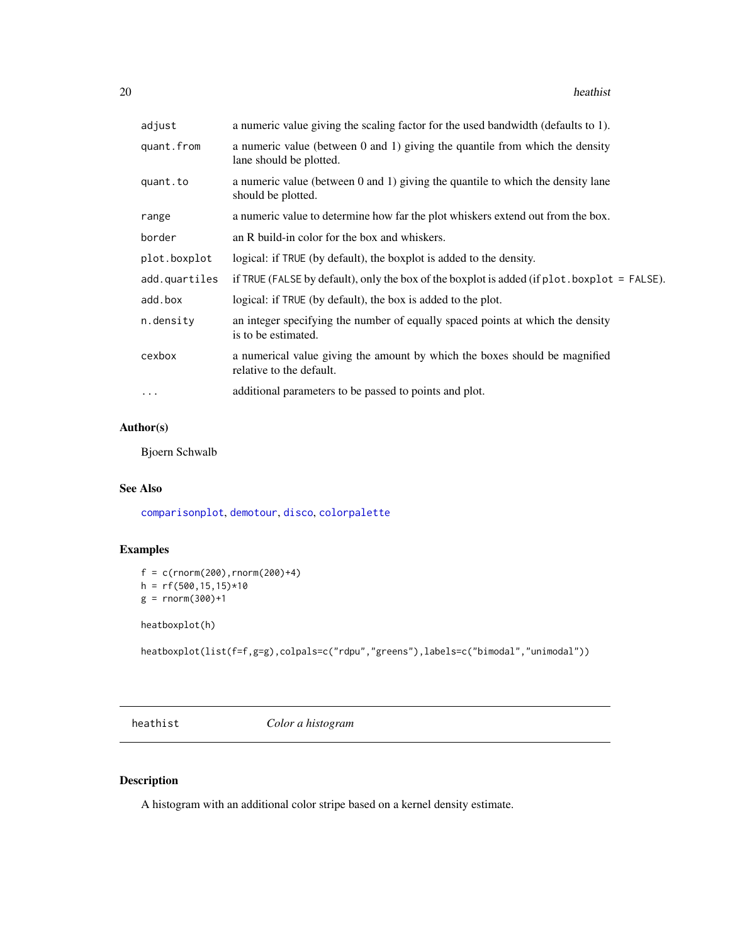#### <span id="page-19-0"></span>20 heathist control and the control of the control of the control of the control of the control of the control of the control of the control of the control of the control of the control of the control of the control of the

| adjust        | a numeric value giving the scaling factor for the used bandwidth (defaults to 1).                            |
|---------------|--------------------------------------------------------------------------------------------------------------|
| quant.from    | a numeric value (between $0$ and $1$ ) giving the quantile from which the density<br>lane should be plotted. |
| quant.to      | a numeric value (between 0 and 1) giving the quantile to which the density lane<br>should be plotted.        |
| range         | a numeric value to determine how far the plot whiskers extend out from the box.                              |
| border        | an R build-in color for the box and whiskers.                                                                |
| plot.boxplot  | logical: if TRUE (by default), the boxplot is added to the density.                                          |
| add.quartiles | if TRUE (FALSE by default), only the box of the boxplot is added (if $plot$ boxplot = FALSE).                |
| add.box       | logical: if TRUE (by default), the box is added to the plot.                                                 |
| n.density     | an integer specifying the number of equally spaced points at which the density<br>is to be estimated.        |
| cexbox        | a numerical value giving the amount by which the boxes should be magnified<br>relative to the default.       |
| $\ddotsc$     | additional parameters to be passed to points and plot.                                                       |

#### Author(s)

Bjoern Schwalb

#### See Also

[comparisonplot](#page-5-1), [demotour](#page-10-1), [disco](#page-11-1), [colorpalette](#page-4-1)

## Examples

```
f = c(rnorm(200), rnorm(200)+4)h = rf(500, 15, 15)*10g = rnorm(300)+1
```
heatboxplot(h)

heatboxplot(list(f=f,g=g),colpals=c("rdpu","greens"),labels=c("bimodal","unimodal"))

heathist *Color a histogram*

## Description

A histogram with an additional color stripe based on a kernel density estimate.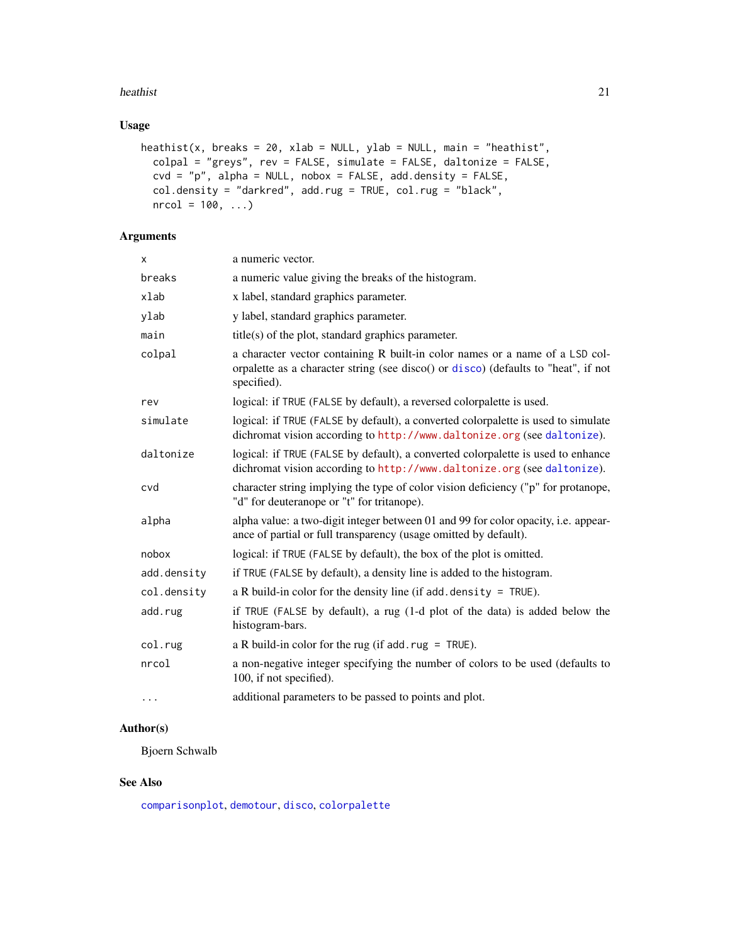#### <span id="page-20-0"></span>heathist 21

## Usage

```
heathist(x, breaks = 20, xlab = NULL, ylab = NULL, main = "heathist",
  colpal = "greys", rev = FALSE, simulate = FALSE, daltonize = FALSE,
 \text{cvd} = \text{"p", alpha = NULL}, \text{nobox = FALSE}, \text{add.density = FALSE},col.density = "darkred", add.rug = TRUE, col.rug = "black",
 nrcol = 100, ...
```
## Arguments

| x           | a numeric vector.                                                                                                                                                                 |
|-------------|-----------------------------------------------------------------------------------------------------------------------------------------------------------------------------------|
| breaks      | a numeric value giving the breaks of the histogram.                                                                                                                               |
| xlab        | x label, standard graphics parameter.                                                                                                                                             |
| ylab        | y label, standard graphics parameter.                                                                                                                                             |
| main        | $title(s)$ of the plot, standard graphics parameter.                                                                                                                              |
| colpal      | a character vector containing R built-in color names or a name of a LSD col-<br>orpalette as a character string (see disco() or disco) (defaults to "heat", if not<br>specified). |
| rev         | logical: if TRUE (FALSE by default), a reversed colorpalette is used.                                                                                                             |
| simulate    | logical: if TRUE (FALSE by default), a converted colorpalette is used to simulate<br>dichromat vision according to http://www.daltonize.org (see daltonize).                      |
| daltonize   | logical: if TRUE (FALSE by default), a converted colorpalette is used to enhance<br>dichromat vision according to http://www.daltonize.org (see daltonize).                       |
| cvd         | character string implying the type of color vision deficiency ("p" for protanope,<br>"d" for deuteranope or "t" for tritanope).                                                   |
| alpha       | alpha value: a two-digit integer between 01 and 99 for color opacity, i.e. appear-<br>ance of partial or full transparency (usage omitted by default).                            |
| nobox       | logical: if TRUE (FALSE by default), the box of the plot is omitted.                                                                                                              |
| add.density | if TRUE (FALSE by default), a density line is added to the histogram.                                                                                                             |
| col.density | a R build-in color for the density line (if add. density = $TRUE$ ).                                                                                                              |
| add.rug     | if TRUE (FALSE by default), a rug (1-d plot of the data) is added below the<br>histogram-bars.                                                                                    |
| col.rug     | a R build-in color for the rug (if $add.rug = TRUE$ ).                                                                                                                            |
| nrcol       | a non-negative integer specifying the number of colors to be used (defaults to<br>100, if not specified).                                                                         |
| $\cdots$    | additional parameters to be passed to points and plot.                                                                                                                            |

## Author(s)

Bjoern Schwalb

#### See Also

[comparisonplot](#page-5-1), [demotour](#page-10-1), [disco](#page-11-1), [colorpalette](#page-4-1)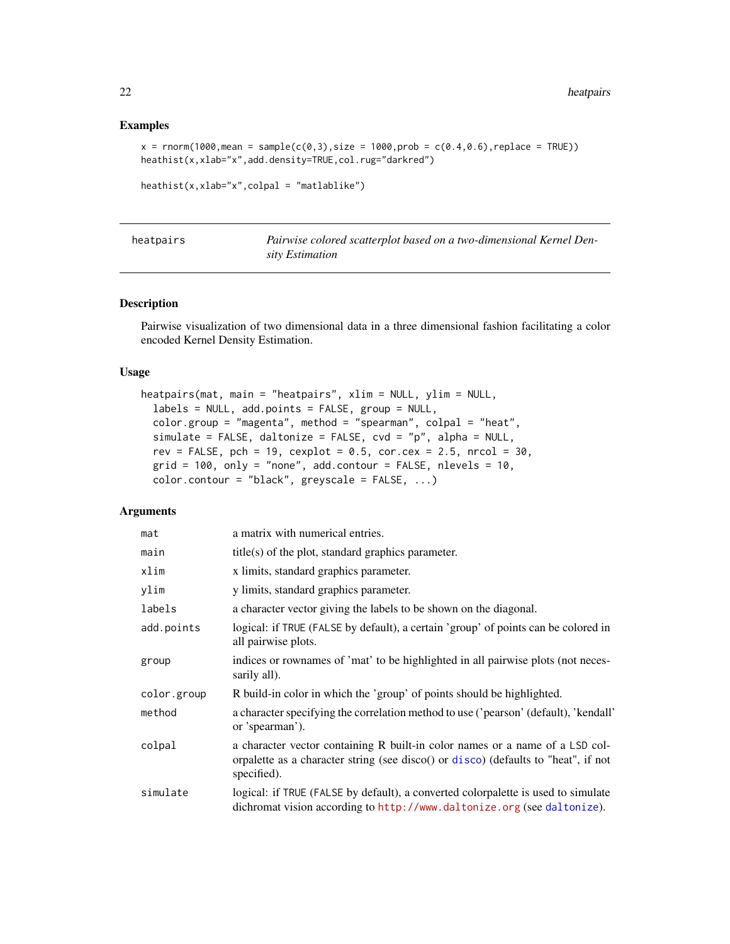#### Examples

```
x = \text{rnorm}(1000, \text{mean} = \text{sample}(c(0, 3), \text{size} = 1000, \text{prob} = c(0.4, 0.6), \text{replace} = \text{TRUE})heathist(x,xlab="x",add.density=TRUE,col.rug="darkred")
```

```
heathist(x,xlab="x",colpal = "matlablike")
```

| heatpairs | Pairwise colored scatterplot based on a two-dimensional Kernel Den- |
|-----------|---------------------------------------------------------------------|
|           | sity Estimation                                                     |

#### Description

Pairwise visualization of two dimensional data in a three dimensional fashion facilitating a color encoded Kernel Density Estimation.

#### Usage

```
heatpairs(mat, main = "heatpairs", xlim = NULL, ylim = NULL,
  labels = NULL, add.points = FALSE, group = NULL,
  color.group = "magenta", method = "spearman", colpal = "heat",
  simulate = FALSE, daltonize = FALSE, cvd = "p", alpha = NULL,
  rev = FALSE, pch = 19, cexplot = 0.5, cor.cex = 2.5, nrcol = 30,
  grid = 100, only = "none", add.contour = FALSE, nlevels = 10,
  color.contour = "black", greyscale = FALSE, ...)
```

| mat         | a matrix with numerical entries.                                                                                                                                                  |
|-------------|-----------------------------------------------------------------------------------------------------------------------------------------------------------------------------------|
| main        | $title(s)$ of the plot, standard graphics parameter.                                                                                                                              |
| xlim        | x limits, standard graphics parameter.                                                                                                                                            |
| ylim        | y limits, standard graphics parameter.                                                                                                                                            |
| labels      | a character vector giving the labels to be shown on the diagonal.                                                                                                                 |
| add.points  | logical: if TRUE (FALSE by default), a certain 'group' of points can be colored in<br>all pairwise plots.                                                                         |
| group       | indices or rownames of 'mat' to be highlighted in all pairwise plots (not neces-<br>sarily all).                                                                                  |
| color.group | R build-in color in which the 'group' of points should be highlighted.                                                                                                            |
| method      | a character specifying the correlation method to use ('pearson' (default), 'kendall'<br>or 'spearman').                                                                           |
| colpal      | a character vector containing R built-in color names or a name of a LSD col-<br>orpalette as a character string (see disco() or disco) (defaults to "heat", if not<br>specified). |
| simulate    | logical: if TRUE (FALSE by default), a converted colorpalette is used to simulate<br>dichromat vision according to http://www.daltonize.org (see daltonize).                      |

<span id="page-21-0"></span>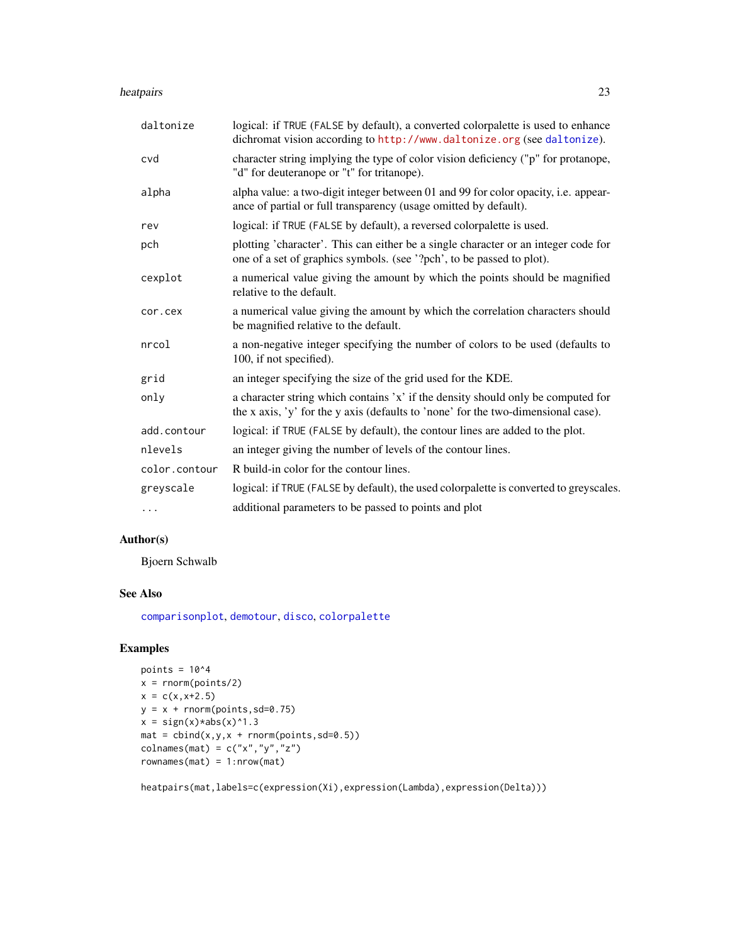#### <span id="page-22-0"></span>heatpairs 23

| daltonize     | logical: if TRUE (FALSE by default), a converted colorpalette is used to enhance<br>dichromat vision according to http://www.daltonize.org (see daltonize).           |
|---------------|-----------------------------------------------------------------------------------------------------------------------------------------------------------------------|
| cvd           | character string implying the type of color vision deficiency ("p" for protanope,<br>"d" for deuteranope or "t" for tritanope).                                       |
| alpha         | alpha value: a two-digit integer between 01 and 99 for color opacity, i.e. appear-<br>ance of partial or full transparency (usage omitted by default).                |
| rev           | logical: if TRUE (FALSE by default), a reversed colorpalette is used.                                                                                                 |
| pch           | plotting 'character'. This can either be a single character or an integer code for<br>one of a set of graphics symbols. (see '?pch', to be passed to plot).           |
| cexplot       | a numerical value giving the amount by which the points should be magnified<br>relative to the default.                                                               |
| cor.cex       | a numerical value giving the amount by which the correlation characters should<br>be magnified relative to the default.                                               |
| nrcol         | a non-negative integer specifying the number of colors to be used (defaults to<br>100, if not specified).                                                             |
| grid          | an integer specifying the size of the grid used for the KDE.                                                                                                          |
| only          | a character string which contains 'x' if the density should only be computed for<br>the x axis, 'y' for the y axis (defaults to 'none' for the two-dimensional case). |
| add.contour   | logical: if TRUE (FALSE by default), the contour lines are added to the plot.                                                                                         |
| nlevels       | an integer giving the number of levels of the contour lines.                                                                                                          |
| color.contour | R build-in color for the contour lines.                                                                                                                               |
| greyscale     | logical: if TRUE (FALSE by default), the used colorpalette is converted to greyscales.                                                                                |
| $\cdots$      | additional parameters to be passed to points and plot                                                                                                                 |

## Author(s)

Bjoern Schwalb

## See Also

[comparisonplot](#page-5-1), [demotour](#page-10-1), [disco](#page-11-1), [colorpalette](#page-4-1)

## Examples

```
points = 10^4x = \text{norm}(\text{points}/2)x = c(x, x+2.5)y = x + \text{norm}(points, sd=0.75)x = sign(x)*abs(x)*1.3mat = child(x,y,x + rnorm(points, sd=0.5))colnames(mat) = c("x", "y", "z")rownames(mat) = 1:nrow(mat)
```
heatpairs(mat,labels=c(expression(Xi),expression(Lambda),expression(Delta)))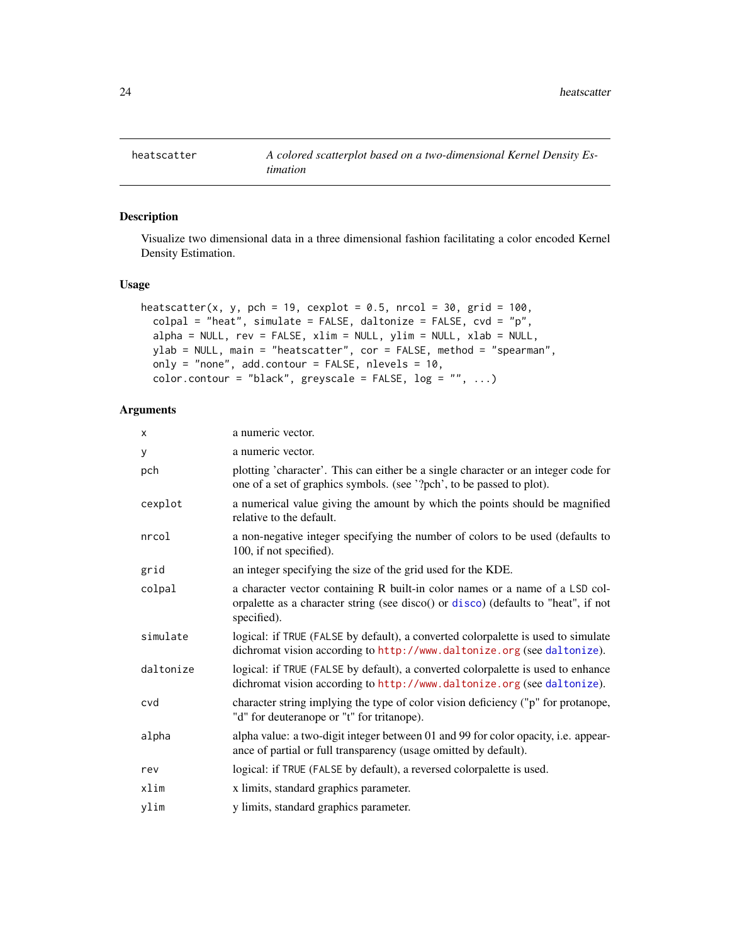<span id="page-23-1"></span><span id="page-23-0"></span>

Visualize two dimensional data in a three dimensional fashion facilitating a color encoded Kernel Density Estimation.

#### Usage

```
heatscatter(x, y, pch = 19, cexplot = 0.5, nrcol = 30, grid = 100,
  colpal = "heat", simulate = FALSE, daltonize = FALSE, cvd = "p",alpha = NULL, rev = FALSE, xlim = NULL, ylim = NULL, xlab = NULL,
 ylab = NULL, main = "heatscatter", cor = FALSE, method = "spearman",
  only = "none", add.contour = FALSE, nlevels = 10,
  color.contour = "black", greyscale = FALSE, log = "", ...)
```

| X         | a numeric vector.                                                                                                                                                                 |
|-----------|-----------------------------------------------------------------------------------------------------------------------------------------------------------------------------------|
| y         | a numeric vector.                                                                                                                                                                 |
| pch       | plotting 'character'. This can either be a single character or an integer code for<br>one of a set of graphics symbols. (see '?pch', to be passed to plot).                       |
| cexplot   | a numerical value giving the amount by which the points should be magnified<br>relative to the default.                                                                           |
| nrcol     | a non-negative integer specifying the number of colors to be used (defaults to<br>100, if not specified).                                                                         |
| grid      | an integer specifying the size of the grid used for the KDE.                                                                                                                      |
| colpal    | a character vector containing R built-in color names or a name of a LSD col-<br>orpalette as a character string (see disco() or disco) (defaults to "heat", if not<br>specified). |
| simulate  | logical: if TRUE (FALSE by default), a converted colorpalette is used to simulate<br>dichromat vision according to http://www.daltonize.org (see daltonize).                      |
| daltonize | logical: if TRUE (FALSE by default), a converted colorpalette is used to enhance<br>dichromat vision according to http://www.daltonize.org (see daltonize).                       |
| cvd       | character string implying the type of color vision deficiency ("p" for protanope,<br>"d" for deuteranope or "t" for tritanope).                                                   |
| alpha     | alpha value: a two-digit integer between 01 and 99 for color opacity, i.e. appear-<br>ance of partial or full transparency (usage omitted by default).                            |
| rev       | logical: if TRUE (FALSE by default), a reversed colorpalette is used.                                                                                                             |
| xlim      | x limits, standard graphics parameter.                                                                                                                                            |
| ylim      | y limits, standard graphics parameter.                                                                                                                                            |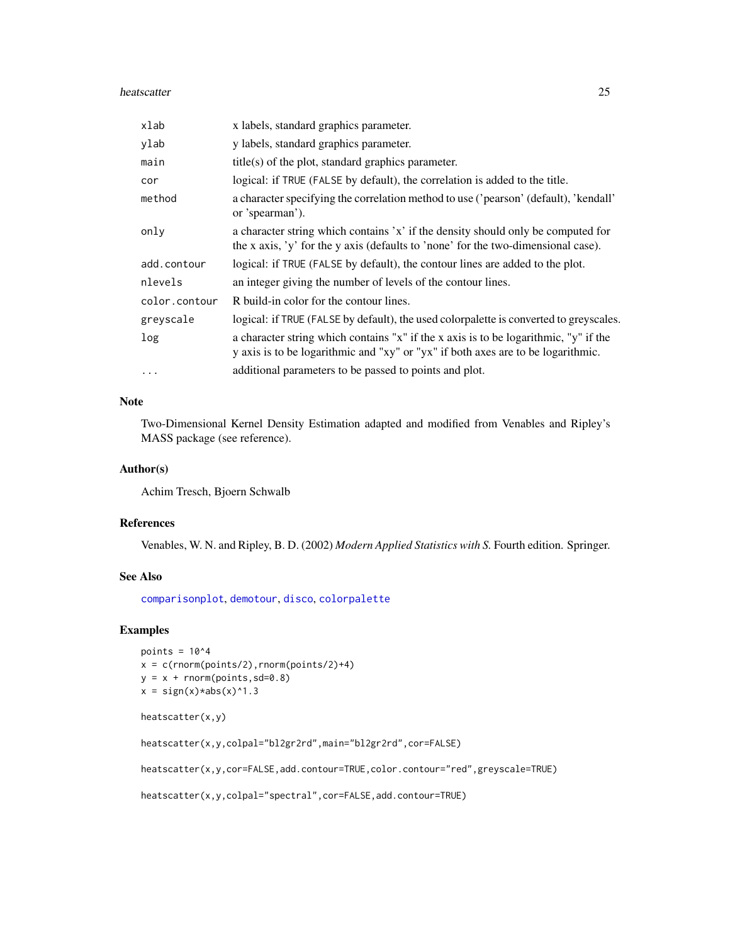#### <span id="page-24-0"></span>heatscatter 25

| xlab          | x labels, standard graphics parameter.                                                                                                                                   |
|---------------|--------------------------------------------------------------------------------------------------------------------------------------------------------------------------|
| ylab          | y labels, standard graphics parameter.                                                                                                                                   |
| main          | $title(s)$ of the plot, standard graphics parameter.                                                                                                                     |
| cor           | logical: if TRUE (FALSE by default), the correlation is added to the title.                                                                                              |
| method        | a character specifying the correlation method to use ('pearson' (default), 'kendall'<br>or 'spearman').                                                                  |
| only          | a character string which contains 'x' if the density should only be computed for<br>the x axis, 'y' for the y axis (defaults to 'none' for the two-dimensional case).    |
| add.contour   | logical: if TRUE (FALSE by default), the contour lines are added to the plot.                                                                                            |
| nlevels       | an integer giving the number of levels of the contour lines.                                                                                                             |
| color.contour | R build-in color for the contour lines.                                                                                                                                  |
| greyscale     | logical: if TRUE (FALSE by default), the used colorpalette is converted to greyscales.                                                                                   |
| log           | a character string which contains "x" if the x axis is to be logarithmic, "y" if the<br>y axis is to be logarithmic and "xy" or "yx" if both axes are to be logarithmic. |
| $\cdot$       | additional parameters to be passed to points and plot.                                                                                                                   |

#### Note

Two-Dimensional Kernel Density Estimation adapted and modified from Venables and Ripley's MASS package (see reference).

#### Author(s)

Achim Tresch, Bjoern Schwalb

#### References

Venables, W. N. and Ripley, B. D. (2002) *Modern Applied Statistics with S.* Fourth edition. Springer.

#### See Also

[comparisonplot](#page-5-1), [demotour](#page-10-1), [disco](#page-11-1), [colorpalette](#page-4-1)

## Examples

```
points = 10^4x = c(rnorm(points/2),rnorm(points/2)+4)y = x + \text{norm}(points, sd=0.8)x = sign(x)*abs(x)*1.3
```

```
heatscatter(x,y)
```
heatscatter(x,y,colpal="bl2gr2rd",main="bl2gr2rd",cor=FALSE)

heatscatter(x,y,cor=FALSE,add.contour=TRUE,color.contour="red",greyscale=TRUE)

```
heatscatter(x,y,colpal="spectral",cor=FALSE,add.contour=TRUE)
```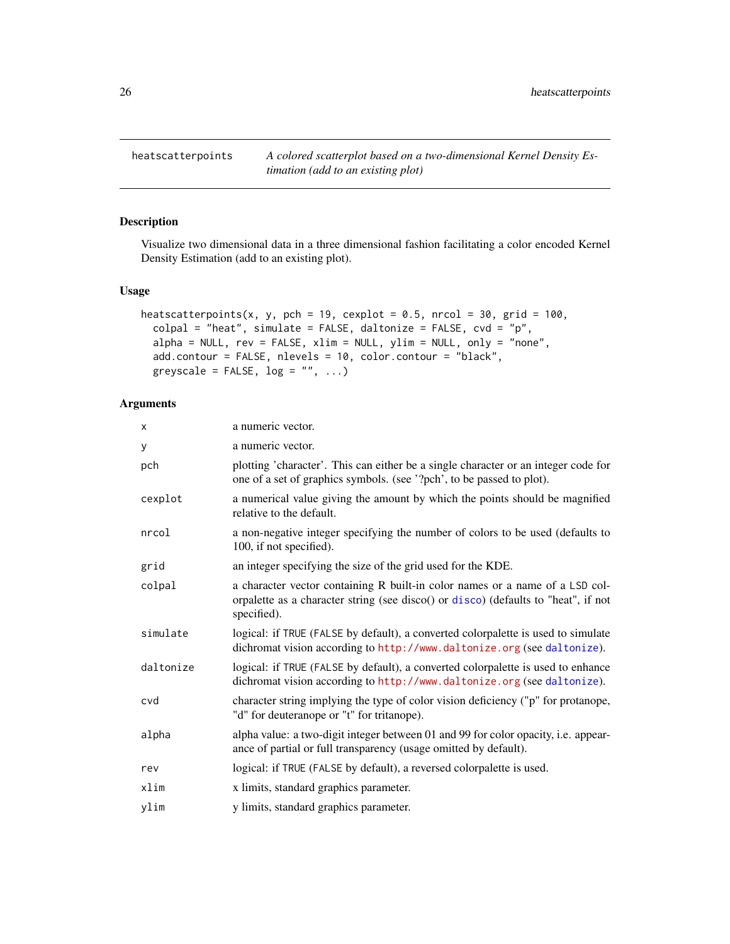<span id="page-25-0"></span>heatscatterpoints *A colored scatterplot based on a two-dimensional Kernel Density Estimation (add to an existing plot)*

## Description

Visualize two dimensional data in a three dimensional fashion facilitating a color encoded Kernel Density Estimation (add to an existing plot).

#### Usage

```
heatscatterpoints(x, y, pch = 19, cexplot = 0.5, nrcol = 30, grid = 100,
  colpal = "heat", simulate = FALSE, daltonize = FALSE, cvd = "p",alpha = NULL, rev = FALSE, xlim = NULL, ylim = NULL, only = "none",add.contour = FALSE, nlevels = 10, color.contour = "black",
 greyscale = FALSE, log = "", ...)
```

| X         | a numeric vector.                                                                                                                                                                 |
|-----------|-----------------------------------------------------------------------------------------------------------------------------------------------------------------------------------|
| у         | a numeric vector.                                                                                                                                                                 |
| pch       | plotting 'character'. This can either be a single character or an integer code for<br>one of a set of graphics symbols. (see '?pch', to be passed to plot).                       |
| cexplot   | a numerical value giving the amount by which the points should be magnified<br>relative to the default.                                                                           |
| nrcol     | a non-negative integer specifying the number of colors to be used (defaults to<br>100, if not specified).                                                                         |
| grid      | an integer specifying the size of the grid used for the KDE.                                                                                                                      |
| colpal    | a character vector containing R built-in color names or a name of a LSD col-<br>orpalette as a character string (see disco() or disco) (defaults to "heat", if not<br>specified). |
| simulate  | logical: if TRUE (FALSE by default), a converted colorpalette is used to simulate<br>dichromat vision according to http://www.daltonize.org (see daltonize).                      |
| daltonize | logical: if TRUE (FALSE by default), a converted colorpalette is used to enhance<br>dichromat vision according to http://www.daltonize.org (see daltonize).                       |
| cvd       | character string implying the type of color vision deficiency ("p" for protanope,<br>"d" for deuteranope or "t" for tritanope).                                                   |
| alpha     | alpha value: a two-digit integer between 01 and 99 for color opacity, i.e. appear-<br>ance of partial or full transparency (usage omitted by default).                            |
| rev       | logical: if TRUE (FALSE by default), a reversed colorpalette is used.                                                                                                             |
| xlim      | x limits, standard graphics parameter.                                                                                                                                            |
| ylim      | y limits, standard graphics parameter.                                                                                                                                            |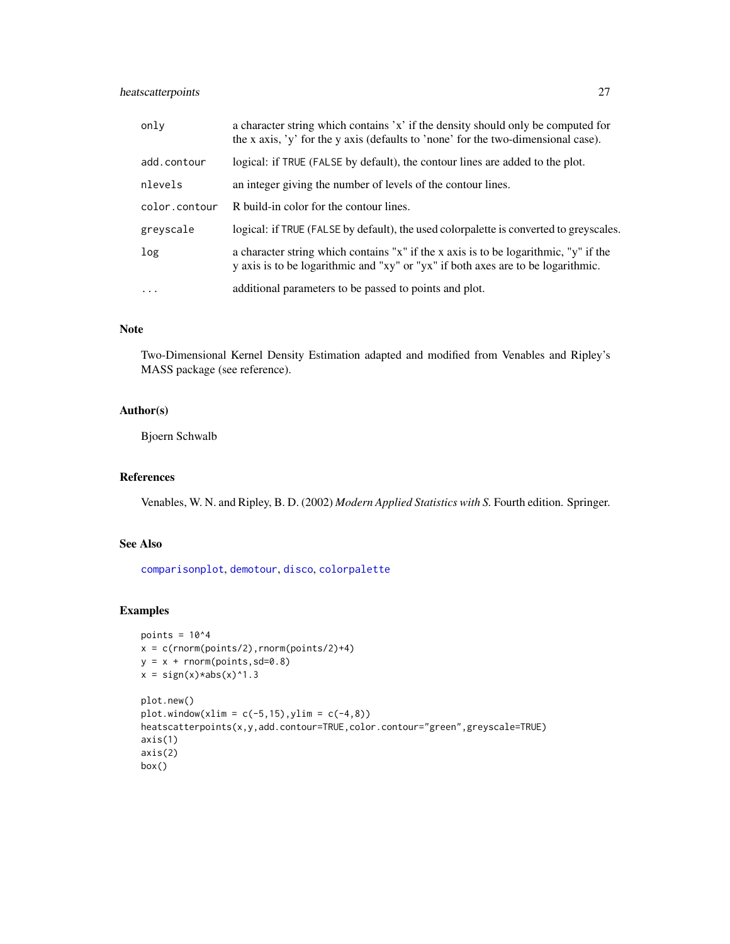## <span id="page-26-0"></span>heatscatterpoints 27

| only          | a character string which contains 'x' if the density should only be computed for<br>the x axis, 'y' for the y axis (defaults to 'none' for the two-dimensional case).    |
|---------------|--------------------------------------------------------------------------------------------------------------------------------------------------------------------------|
| add.contour   | logical: if TRUE (FALSE by default), the contour lines are added to the plot.                                                                                            |
| nlevels       | an integer giving the number of levels of the contour lines.                                                                                                             |
| color.contour | R build-in color for the contour lines.                                                                                                                                  |
| greyscale     | logical: if TRUE (FALSE by default), the used colorpalette is converted to greyscales.                                                                                   |
| log           | a character string which contains "x" if the x axis is to be logarithmic, "y" if the<br>y axis is to be logarithmic and "xy" or "yx" if both axes are to be logarithmic. |
| $\cdots$      | additional parameters to be passed to points and plot.                                                                                                                   |

## Note

Two-Dimensional Kernel Density Estimation adapted and modified from Venables and Ripley's MASS package (see reference).

## Author(s)

Bjoern Schwalb

#### References

Venables, W. N. and Ripley, B. D. (2002) *Modern Applied Statistics with S.* Fourth edition. Springer.

## See Also

[comparisonplot](#page-5-1), [demotour](#page-10-1), [disco](#page-11-1), [colorpalette](#page-4-1)

```
points = 10^4x = c(rnorm(points/2), rnorm(points/2)+4)y = x + \text{norm}(points, sd=0.8)x = sign(x)*abs(x)*1.3plot.new()
plot.window(xlim = c(-5, 15), ylim = c(-4, 8))heatscatterpoints(x,y,add.contour=TRUE,color.contour="green",greyscale=TRUE)
axis(1)
axis(2)
box()
```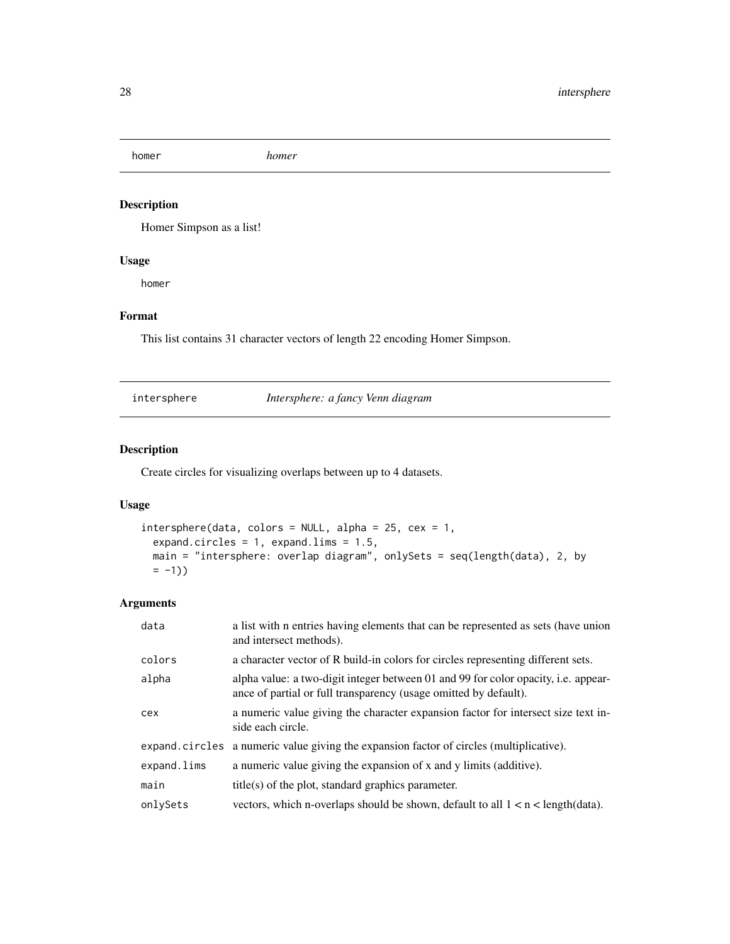<span id="page-27-0"></span>homer *homer*

## Description

Homer Simpson as a list!

#### Usage

homer

## Format

This list contains 31 character vectors of length 22 encoding Homer Simpson.

intersphere *Intersphere: a fancy Venn diagram*

## Description

Create circles for visualizing overlaps between up to 4 datasets.

## Usage

```
intersphere(data, colors = NULL, alpha = 25, cex = 1,expand.circles = 1, expand.lims = 1.5,
 main = "intersphere: overlap diagram", onlySets = seq(length(data), 2, by
 = -1))
```

| data        | a list with n entries having elements that can be represented as sets (have union<br>and intersect methods).                                           |
|-------------|--------------------------------------------------------------------------------------------------------------------------------------------------------|
| colors      | a character vector of R build-in colors for circles representing different sets.                                                                       |
| alpha       | alpha value: a two-digit integer between 01 and 99 for color opacity, i.e. appear-<br>ance of partial or full transparency (usage omitted by default). |
| cex         | a numeric value giving the character expansion factor for intersect size text in-<br>side each circle.                                                 |
|             | expand.circles a numeric value giving the expansion factor of circles (multiplicative).                                                                |
| expand.lims | a numeric value giving the expansion of x and y limits (additive).                                                                                     |
| main        | $title(s)$ of the plot, standard graphics parameter.                                                                                                   |
| onlySets    | vectors, which n-overlaps should be shown, default to all $1 < n <$ length (data).                                                                     |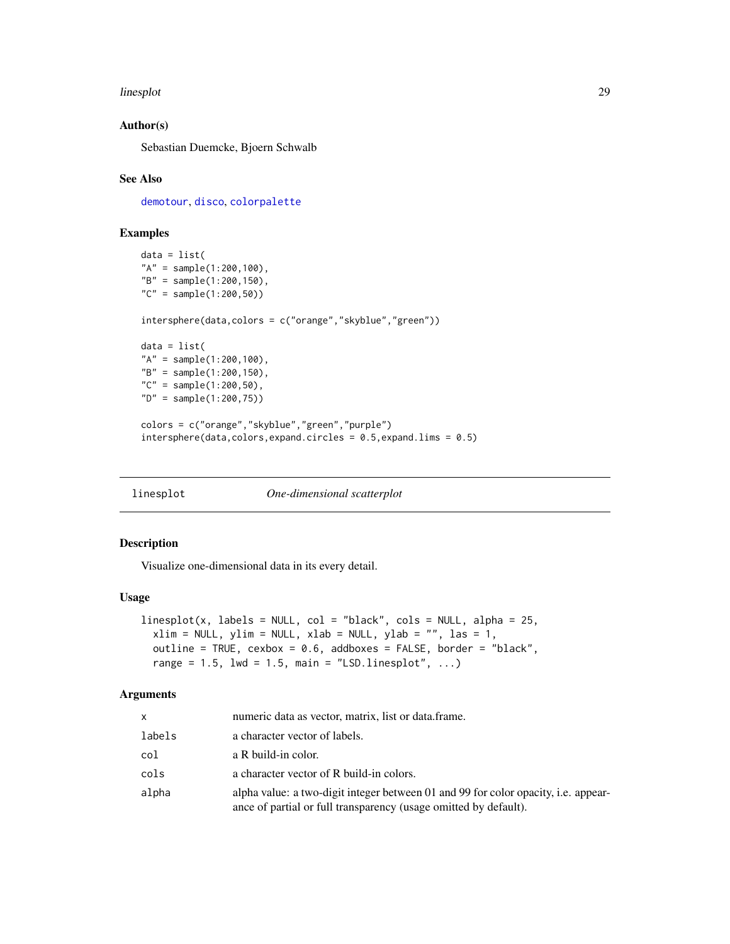#### <span id="page-28-0"></span>linesplot 29

#### Author(s)

Sebastian Duemcke, Bjoern Schwalb

#### See Also

[demotour](#page-10-1), [disco](#page-11-1), [colorpalette](#page-4-1)

#### Examples

```
data = list("A" = sample(1:200,100),
"B" = sample(1:200,150),
"C" = sample(1:200,50))
intersphere(data,colors = c("orange","skyblue","green"))
data = list("A" = sample(1:200,100),
"B" = sample(1:200,150),
"C" = sample(1:200,50),
"D" = sample(1:200,75))
colors = c("orange","skyblue","green","purple")
intersphere(data, colors, expand. circles = 0.5, expand.lims = 0.5)
```
linesplot *One-dimensional scatterplot*

#### Description

Visualize one-dimensional data in its every detail.

#### Usage

```
linesplot(x, labels = NULL, col = "black", col = NULL, alpha = 25,xlim = NULL, ylim = NULL, xlab = NULL, ylab = "", las = 1,outline = TRUE, cexbox = 0.6, addboxes = FALSE, border = "black",
  range = 1.5, lwd = 1.5, main = "LSD.linesplot", \dots)
```

| x      | numeric data as vector, matrix, list or data.frame.                                                                                                    |
|--------|--------------------------------------------------------------------------------------------------------------------------------------------------------|
| labels | a character vector of labels.                                                                                                                          |
| col    | a R build-in color.                                                                                                                                    |
| cols   | a character vector of R build-in colors.                                                                                                               |
| alpha  | alpha value: a two-digit integer between 01 and 99 for color opacity, i.e. appear-<br>ance of partial or full transparency (usage omitted by default). |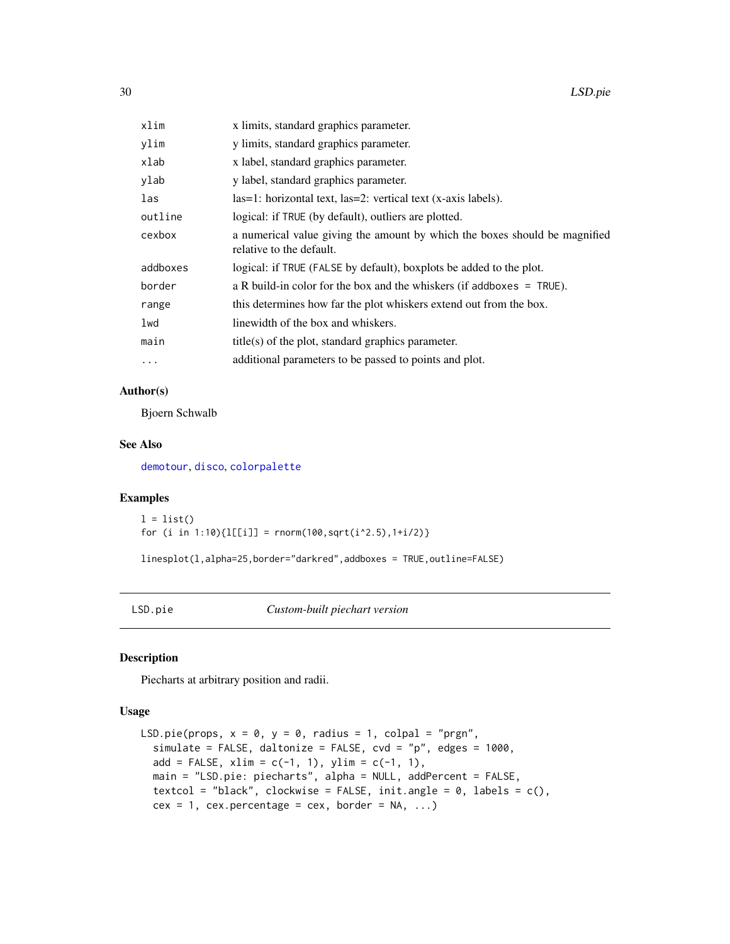<span id="page-29-0"></span>

| xlim     | x limits, standard graphics parameter.                                                                 |
|----------|--------------------------------------------------------------------------------------------------------|
| ylim     | y limits, standard graphics parameter.                                                                 |
| xlab     | x label, standard graphics parameter.                                                                  |
| ylab     | y label, standard graphics parameter.                                                                  |
| las      | $las=1$ : horizontal text, $las=2$ : vertical text (x-axis labels).                                    |
| outline  | logical: if TRUE (by default), outliers are plotted.                                                   |
| cexbox   | a numerical value giving the amount by which the boxes should be magnified<br>relative to the default. |
| addboxes | logical: if TRUE (FALSE by default), boxplots be added to the plot.                                    |
| border   | a R build-in color for the box and the whiskers (if addboxes $=$ TRUE).                                |
| range    | this determines how far the plot whiskers extend out from the box.                                     |
| lwd      | linewidth of the box and whiskers.                                                                     |
| main     | $title(s)$ of the plot, standard graphics parameter.                                                   |
| $\cdots$ | additional parameters to be passed to points and plot.                                                 |

## Author(s)

Bjoern Schwalb

#### See Also

[demotour](#page-10-1), [disco](#page-11-1), [colorpalette](#page-4-1)

## Examples

```
l = list()for (i in 1:10\[[\text{[i]}] = rnorm(100,sqrt(i^2.5),1+i/2)}
```
linesplot(l,alpha=25,border="darkred",addboxes = TRUE,outline=FALSE)

LSD.pie *Custom-built piechart version*

#### Description

Piecharts at arbitrary position and radii.

#### Usage

```
LSD.pie(props, x = 0, y = 0, radius = 1, colpal = "prgn",
  simulate = FALSE, daltonize = FALSE, cvd = "p", edges = 1000,
  add = FALSE, xlim = c(-1, 1), ylim = c(-1, 1),main = "LSD.pie: piecharts", alpha = NULL, addPercent = FALSE,
 textcol = "black", clockwise = FALSE, init.angle = 0, labels = c(),
  cex = 1, cex.percentage = cex, border = NA, ...)
```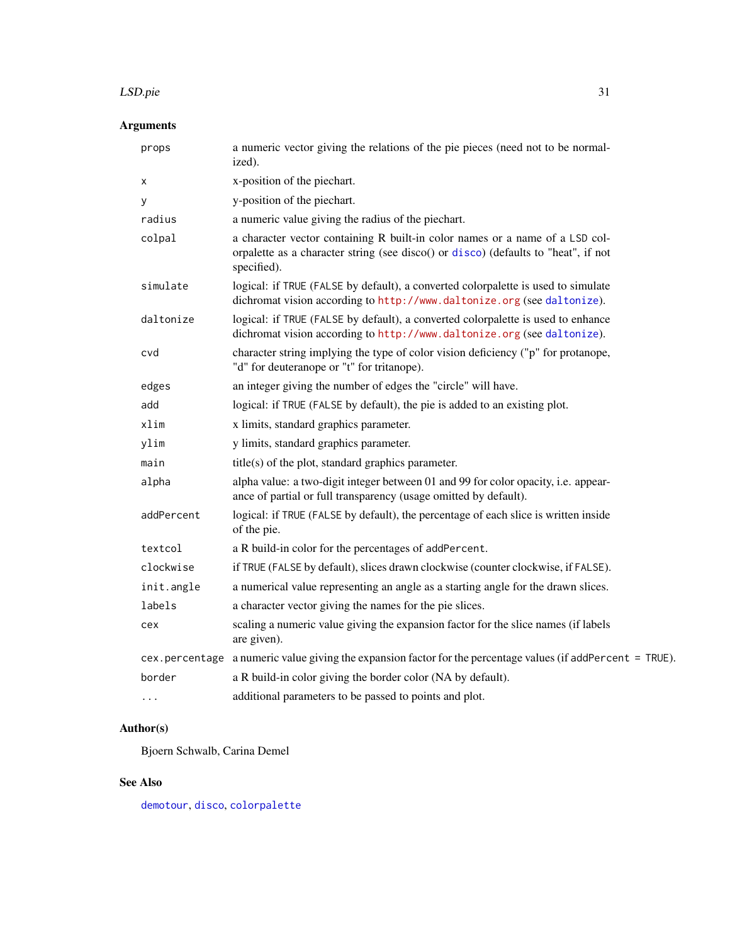#### <span id="page-30-0"></span>LSD.pie 31

## Arguments

| props          | a numeric vector giving the relations of the pie pieces (need not to be normal-<br>ized).                                                                                         |
|----------------|-----------------------------------------------------------------------------------------------------------------------------------------------------------------------------------|
| х              | x-position of the piechart.                                                                                                                                                       |
| У              | y-position of the piechart.                                                                                                                                                       |
| radius         | a numeric value giving the radius of the piechart.                                                                                                                                |
| colpal         | a character vector containing R built-in color names or a name of a LSD col-<br>orpalette as a character string (see disco() or disco) (defaults to "heat", if not<br>specified). |
| simulate       | logical: if TRUE (FALSE by default), a converted colorpalette is used to simulate<br>dichromat vision according to http://www.daltonize.org (see daltonize).                      |
| daltonize      | logical: if TRUE (FALSE by default), a converted colorpalette is used to enhance<br>dichromat vision according to http://www.daltonize.org (see daltonize).                       |
| cvd            | character string implying the type of color vision deficiency ("p" for protanope,<br>"d" for deuteranope or "t" for tritanope).                                                   |
| edges          | an integer giving the number of edges the "circle" will have.                                                                                                                     |
| add            | logical: if TRUE (FALSE by default), the pie is added to an existing plot.                                                                                                        |
| xlim           | x limits, standard graphics parameter.                                                                                                                                            |
| ylim           | y limits, standard graphics parameter.                                                                                                                                            |
| main           | title(s) of the plot, standard graphics parameter.                                                                                                                                |
| alpha          | alpha value: a two-digit integer between 01 and 99 for color opacity, i.e. appear-<br>ance of partial or full transparency (usage omitted by default).                            |
| addPercent     | logical: if TRUE (FALSE by default), the percentage of each slice is written inside<br>of the pie.                                                                                |
| textcol        | a R build-in color for the percentages of addPercent.                                                                                                                             |
| clockwise      | if TRUE (FALSE by default), slices drawn clockwise (counter clockwise, if FALSE).                                                                                                 |
| init.angle     | a numerical value representing an angle as a starting angle for the drawn slices.                                                                                                 |
| labels         | a character vector giving the names for the pie slices.                                                                                                                           |
| cex            | scaling a numeric value giving the expansion factor for the slice names (if labels<br>are given).                                                                                 |
| cex.percentage | a numeric value giving the expansion factor for the percentage values (if addPercent = TRUE).                                                                                     |
| border         | a R build-in color giving the border color (NA by default).                                                                                                                       |
| .              | additional parameters to be passed to points and plot.                                                                                                                            |

## Author(s)

Bjoern Schwalb, Carina Demel

## See Also

[demotour](#page-10-1), [disco](#page-11-1), [colorpalette](#page-4-1)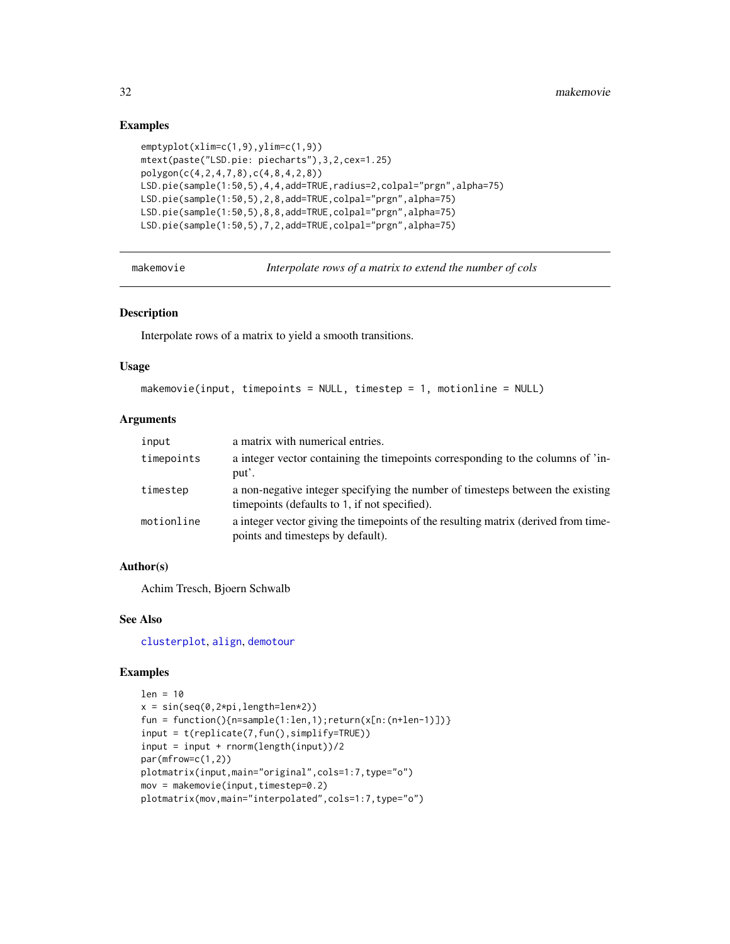#### Examples

```
emptyplot(xlim=c(1,9),ylim=c(1,9))
mtext(paste("LSD.pie: piecharts"),3,2,cex=1.25)
polygon(c(4,2,4,7,8),c(4,8,4,2,8))
LSD.pie(sample(1:50,5),4,4,add=TRUE,radius=2,colpal="prgn",alpha=75)
LSD.pie(sample(1:50,5),2,8,add=TRUE,colpal="prgn",alpha=75)
LSD.pie(sample(1:50,5),8,8,add=TRUE,colpal="prgn",alpha=75)
LSD.pie(sample(1:50,5),7,2,add=TRUE,colpal="prgn",alpha=75)
```
makemovie *Interpolate rows of a matrix to extend the number of cols*

#### Description

Interpolate rows of a matrix to yield a smooth transitions.

#### Usage

```
makemovie(input, timepoints = NULL, timestep = 1, motionline = NULL)
```
## Arguments

| input      | a matrix with numerical entries.                                                                                                 |
|------------|----------------------------------------------------------------------------------------------------------------------------------|
| timepoints | a integer vector containing the timepoints corresponding to the columns of 'in-<br>put'.                                         |
| timestep   | a non-negative integer specifying the number of timesteps between the existing<br>time points (defaults to 1, if not specified). |
| motionline | a integer vector giving the timepoints of the resulting matrix (derived from time-<br>points and timesteps by default).          |

#### Author(s)

Achim Tresch, Bjoern Schwalb

#### See Also

[clusterplot](#page-2-1), [align](#page-1-1), [demotour](#page-10-1)

```
len = 10
x = sin(seq(0, 2*pi, length=len*2))fun = function(){n=sample(1:len,1);return(x[n:(n+len-1)])}
input = t(replicate(7,fun(),simplify=TRUE))
input = input + rnorm(length(input))/2
par(mfrow=c(1,2))
plotmatrix(input,main="original",cols=1:7,type="o")
mov = makemovie(input,timestep=0.2)
plotmatrix(mov,main="interpolated",cols=1:7,type="o")
```
<span id="page-31-0"></span>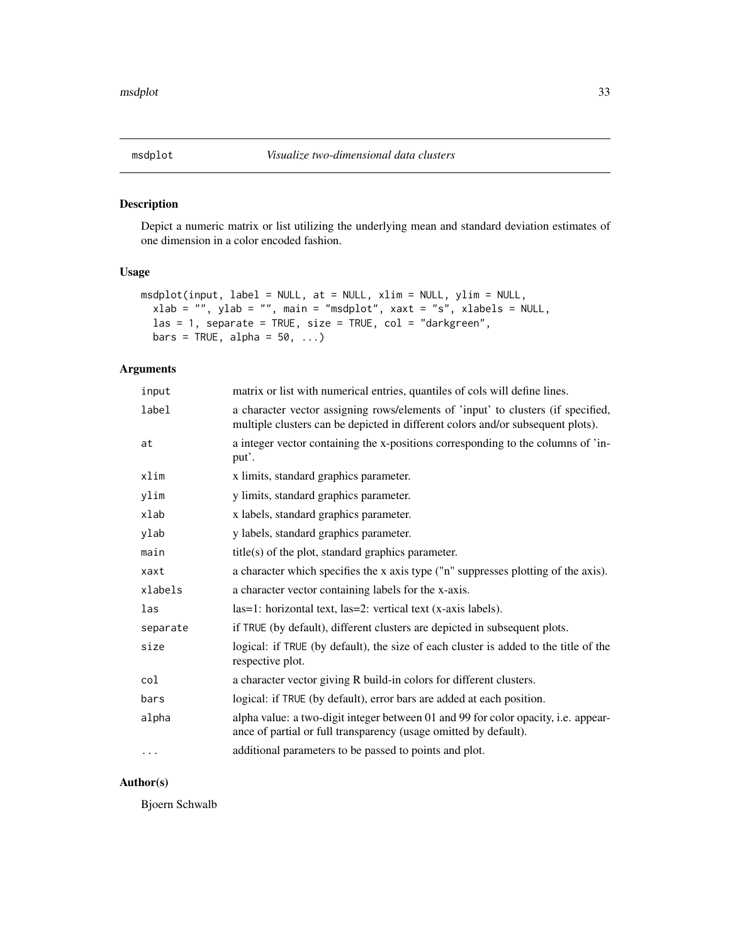<span id="page-32-0"></span>

Depict a numeric matrix or list utilizing the underlying mean and standard deviation estimates of one dimension in a color encoded fashion.

#### Usage

```
msdplot(input, label = NULL, at = NULL, xlim = NULL, ylim = NULL,
 xlab = "", ylab = "", main = "msdplot", xaxt = "s", xlabels = NULL,
  \text{las} = 1, separate = TRUE, size = TRUE, col = "darkgreen",
 bars = TRUE, alpha = 50, ...)
```
#### Arguments

| input    | matrix or list with numerical entries, quantiles of cols will define lines.                                                                                         |
|----------|---------------------------------------------------------------------------------------------------------------------------------------------------------------------|
| label    | a character vector assigning rows/elements of 'input' to clusters (if specified,<br>multiple clusters can be depicted in different colors and/or subsequent plots). |
| at       | a integer vector containing the x-positions corresponding to the columns of 'in-<br>put'.                                                                           |
| xlim     | x limits, standard graphics parameter.                                                                                                                              |
| ylim     | y limits, standard graphics parameter.                                                                                                                              |
| xlab     | x labels, standard graphics parameter.                                                                                                                              |
| ylab     | y labels, standard graphics parameter.                                                                                                                              |
| main     | $title(s)$ of the plot, standard graphics parameter.                                                                                                                |
| xaxt     | a character which specifies the x axis type ("n" suppresses plotting of the axis).                                                                                  |
| xlabels  | a character vector containing labels for the x-axis.                                                                                                                |
| las      | $las=1$ : horizontal text, $las=2$ : vertical text (x-axis labels).                                                                                                 |
| separate | if TRUE (by default), different clusters are depicted in subsequent plots.                                                                                          |
| size     | logical: if TRUE (by default), the size of each cluster is added to the title of the<br>respective plot.                                                            |
| col      | a character vector giving R build-in colors for different clusters.                                                                                                 |
| bars     | logical: if TRUE (by default), error bars are added at each position.                                                                                               |
| alpha    | alpha value: a two-digit integer between 01 and 99 for color opacity, i.e. appear-<br>ance of partial or full transparency (usage omitted by default).              |
| $\cdots$ | additional parameters to be passed to points and plot.                                                                                                              |

#### Author(s)

Bjoern Schwalb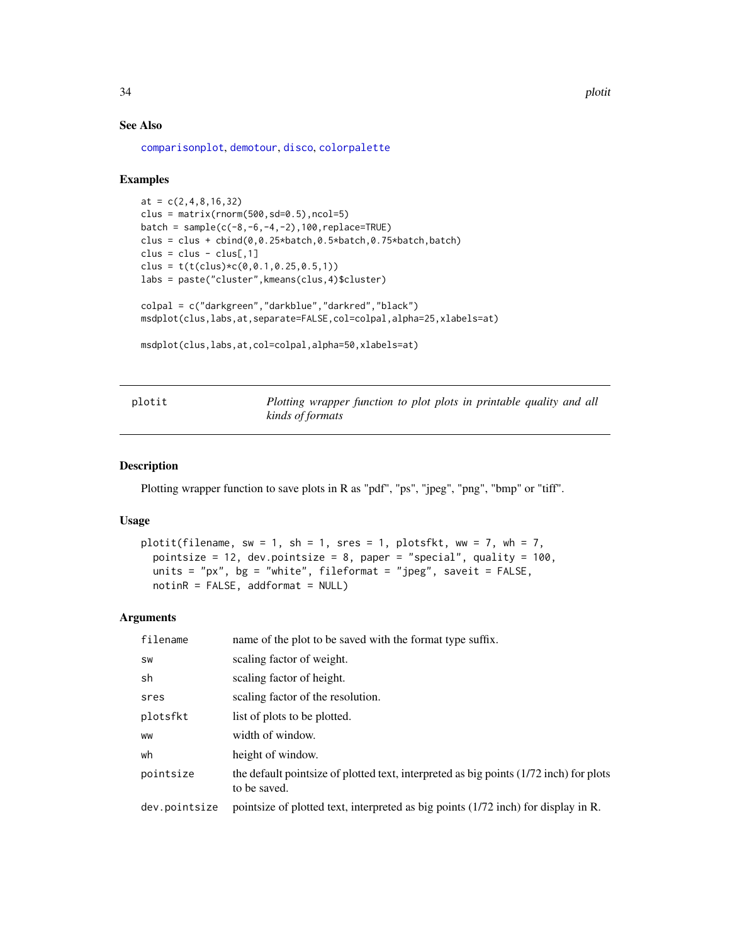34 plotit

#### See Also

[comparisonplot](#page-5-1), [demotour](#page-10-1), [disco](#page-11-1), [colorpalette](#page-4-1)

#### Examples

```
at = c(2, 4, 8, 16, 32)clus = matrix(rnorm(500, sd=0.5), ncol=5)batch = sample(c(-8, -6, -4, -2), 100, replace = TRUE)clus = clus + cbind(0, 0.25*batch, 0.5*batch, 0.75*batch, batch)clus = clus - clus[, 1]clus = t(t(clus) * c(0, 0.1, 0.25, 0.5, 1))labs = paste("cluster",kmeans(clus,4)$cluster)
colpal = c("darkgreen","darkblue","darkred","black")
msdplot(clus,labs,at,separate=FALSE,col=colpal,alpha=25,xlabels=at)
msdplot(clus,labs,at,col=colpal,alpha=50,xlabels=at)
```
plotit *Plotting wrapper function to plot plots in printable quality and all kinds of formats*

#### Description

Plotting wrapper function to save plots in R as "pdf", "ps", "jpeg", "png", "bmp" or "tiff".

#### Usage

```
plotit(filename, sw = 1, sh = 1, sres = 1, plotsfkt, ww = 7, wh = 7,
 pointsize = 12, dev.pointsize = 8, paper = "special", quality = 100,
  units = "px", bg = "white", fileformat = "jpeg", saveit = FALSE,
  notinR = FALSE, addformat = NULL)
```

| filename      | name of the plot to be saved with the format type suffix.                                              |
|---------------|--------------------------------------------------------------------------------------------------------|
| SW            | scaling factor of weight.                                                                              |
| sh            | scaling factor of height.                                                                              |
| sres          | scaling factor of the resolution.                                                                      |
| plotsfkt      | list of plots to be plotted.                                                                           |
| <b>WW</b>     | width of window.                                                                                       |
| wh            | height of window.                                                                                      |
| pointsize     | the default pointsize of plotted text, interpreted as big points (1/72 inch) for plots<br>to be saved. |
| dev.pointsize | pointsize of plotted text, interpreted as big points (1/72 inch) for display in R.                     |

<span id="page-33-0"></span>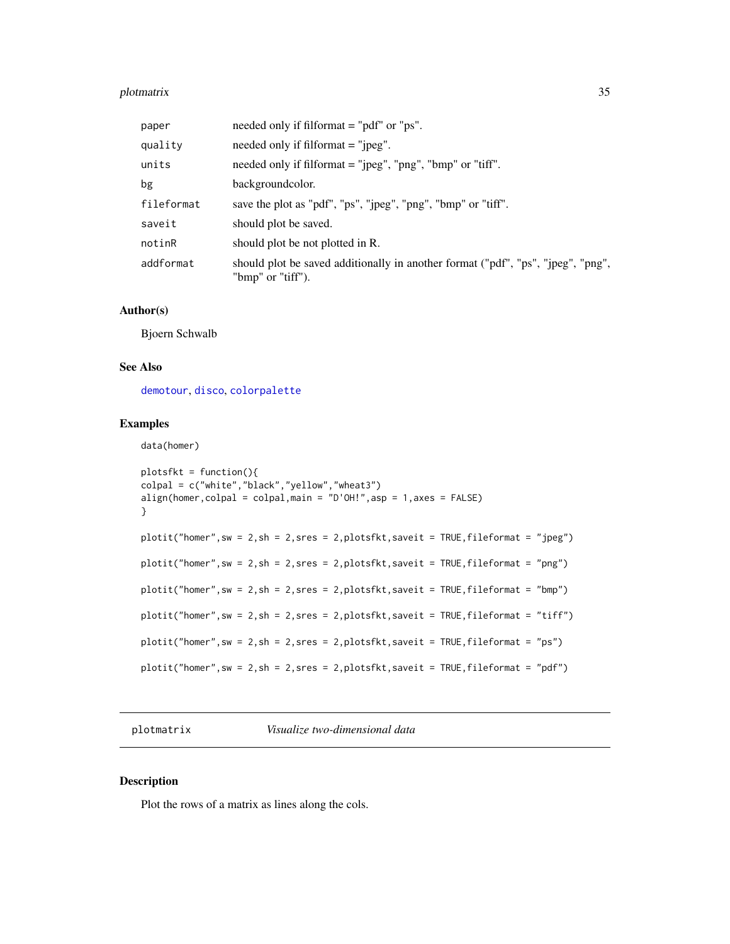#### <span id="page-34-0"></span>plotmatrix 35

| paper      | needed only if filformat $=$ "pdf" or "ps".                                                           |
|------------|-------------------------------------------------------------------------------------------------------|
| quality    | needed only if filformat $=$ "jpeg".                                                                  |
| units      | needed only if filformat $=$ " $ peg"$ , " $png"$ , " $bmp"$ or "tiff".                               |
| bg         | backgroundcolor.                                                                                      |
| fileformat | save the plot as "pdf", "ps", "ipeg", "png", "bmp" or "tiff".                                         |
| saveit     | should plot be saved.                                                                                 |
| notinR     | should plot be not plotted in R.                                                                      |
| addformat  | should plot be saved additionally in another format ("pdf", "ps", "jpeg", "png",<br>"bmp" or "tiff"). |

#### Author(s)

Bjoern Schwalb

## See Also

[demotour](#page-10-1), [disco](#page-11-1), [colorpalette](#page-4-1)

#### Examples

```
data(homer)
```

```
plotsfkt = function(){
colpal = c("white","black","yellow","wheat3")
align(homer,colpal = colpal,main = "D'OH!",asp = 1,axes = FALSE)
}
plotit("homer",sw = 2,sh = 2,sres = 2,plotsfkt,saveit = TRUE,fileformat = "jpeg")
plotit("homer",sw = 2,sh = 2,sres = 2,plotsfkt,saveit = TRUE,fileformat = "png")
plotit("homer",sw = 2,sh = 2,sres = 2,plotsfkt,saveit = TRUE,fileformat = "bmp")
plotit("homer",sw = 2,sh = 2,sres = 2,plotsfkt,saveit = TRUE,fileformat = "tiff")
plotit("homer",sw = 2,sh = 2,sres = 2,plotsfkt,saveit = TRUE,fileformat = "ps")
plotit("homer",sw = 2,sh = 2,sres = 2,plotsfkt,saveit = TRUE,fileformat = "pdf")
```
plotmatrix *Visualize two-dimensional data*

#### Description

Plot the rows of a matrix as lines along the cols.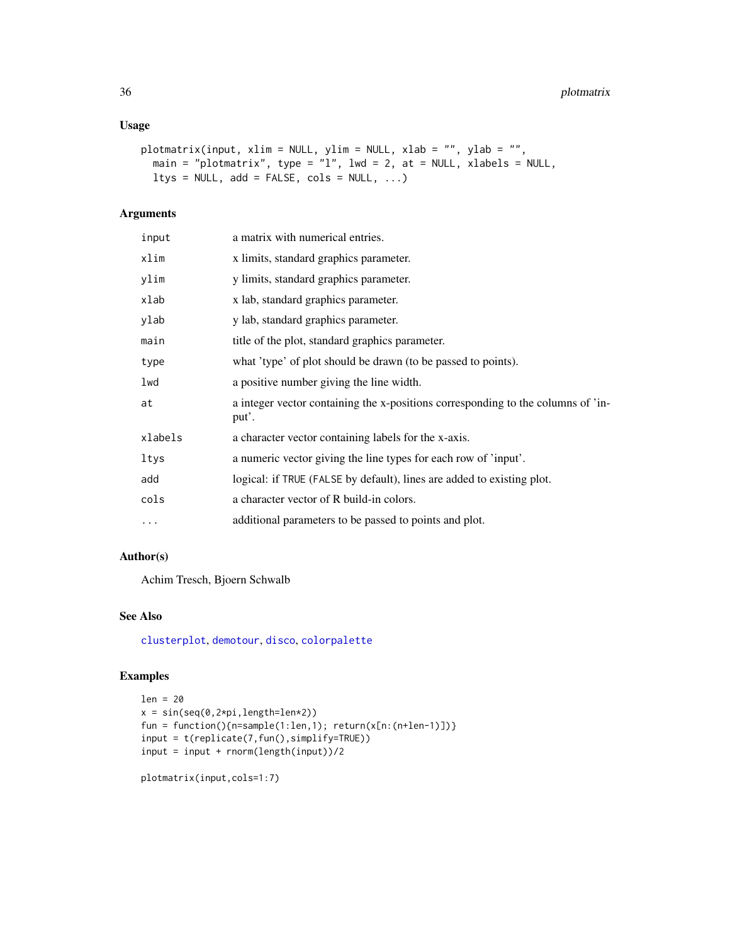#### <span id="page-35-0"></span>Usage

```
plotmatrix(input, xlim = NULL, ylim = NULL, xlab = "", ylab = "",
 main = "plotmatrix", type = "l", lwd = 2, at = NULL, xlabels = NULL,
 ltys = NULL, add = FALSE, cols = NULL, ...)
```
#### Arguments

| input   | a matrix with numerical entries.                                                          |
|---------|-------------------------------------------------------------------------------------------|
| xlim    | x limits, standard graphics parameter.                                                    |
| ylim    | y limits, standard graphics parameter.                                                    |
| xlab    | x lab, standard graphics parameter.                                                       |
| ylab    | y lab, standard graphics parameter.                                                       |
| main    | title of the plot, standard graphics parameter.                                           |
| type    | what 'type' of plot should be drawn (to be passed to points).                             |
| lwd     | a positive number giving the line width.                                                  |
| at      | a integer vector containing the x-positions corresponding to the columns of 'in-<br>put'. |
| xlabels | a character vector containing labels for the x-axis.                                      |
| ltys    | a numeric vector giving the line types for each row of 'input'.                           |
| add     | logical: if TRUE (FALSE by default), lines are added to existing plot.                    |
| cols    | a character vector of R build-in colors.                                                  |
| .       | additional parameters to be passed to points and plot.                                    |

## Author(s)

Achim Tresch, Bjoern Schwalb

#### See Also

[clusterplot](#page-2-1), [demotour](#page-10-1), [disco](#page-11-1), [colorpalette](#page-4-1)

## Examples

```
len = 20
x = sin(seq(0,2*pi,length=len*2))
fun = function(){n=sample(1:len,1); return(x[n:(n+len-1)])}
input = t(replicate(7,fun(),simplify=TRUE))
input = input + rnorm(length(input))/2
```
plotmatrix(input,cols=1:7)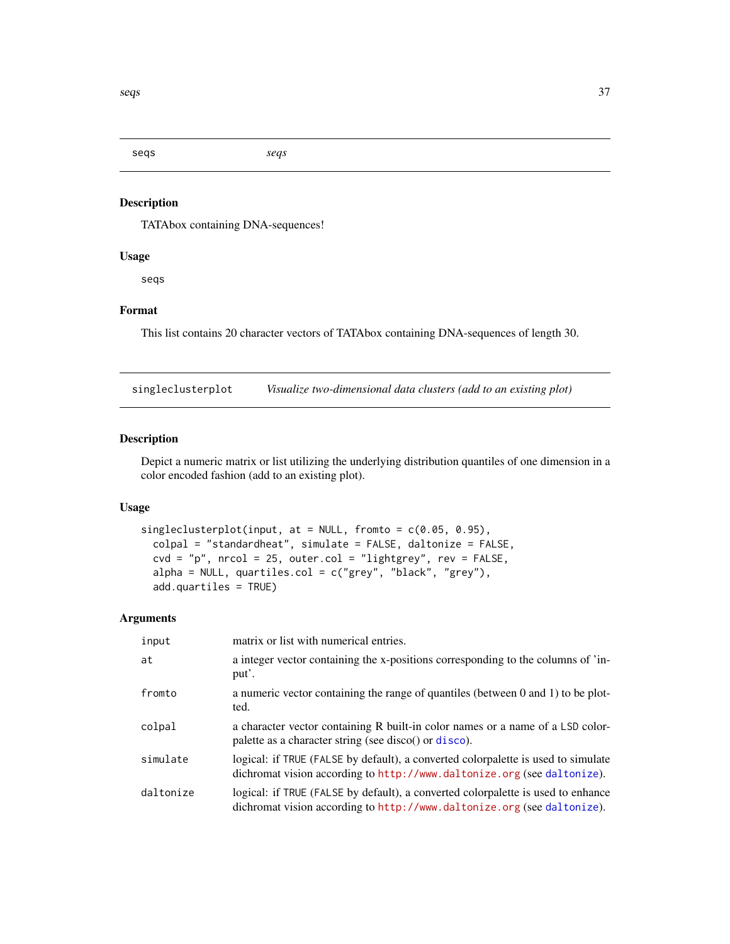<span id="page-36-0"></span>seqs *seqs*

## Description

TATAbox containing DNA-sequences!

## Usage

seqs

## Format

This list contains 20 character vectors of TATAbox containing DNA-sequences of length 30.

<span id="page-36-1"></span>singleclusterplot *Visualize two-dimensional data clusters (add to an existing plot)*

#### Description

Depict a numeric matrix or list utilizing the underlying distribution quantiles of one dimension in a color encoded fashion (add to an existing plot).

#### Usage

```
singleclusterplot(input, at = NULL, fromto = c(0.05, 0.95),
 colpal = "standardheat", simulate = FALSE, daltonize = FALSE,
 cvd = "p", \text{ nrcol} = 25, \text{ outer.col} = "lightgrey", \text{ rev} = FALSE,alpha = NULL, quartiles.col = c("grey", "black", "grey"),
  add.quartiles = TRUE)
```

| input     | matrix or list with numerical entries.                                                                                                                       |
|-----------|--------------------------------------------------------------------------------------------------------------------------------------------------------------|
| at        | a integer vector containing the x-positions corresponding to the columns of 'in-<br>put'.                                                                    |
| fromto    | a numeric vector containing the range of quantiles (between 0 and 1) to be plot-<br>ted.                                                                     |
| colpal    | a character vector containing R built-in color names or a name of a LSD color-<br>palette as a character string (see disco() or disco).                      |
| simulate  | logical: if TRUE (FALSE by default), a converted colorpalette is used to simulate<br>dichromat vision according to http://www.daltonize.org (see daltonize). |
| daltonize | logical: if TRUE (FALSE by default), a converted colorpalette is used to enhance<br>dichromat vision according to http://www.daltonize.org (see daltonize).  |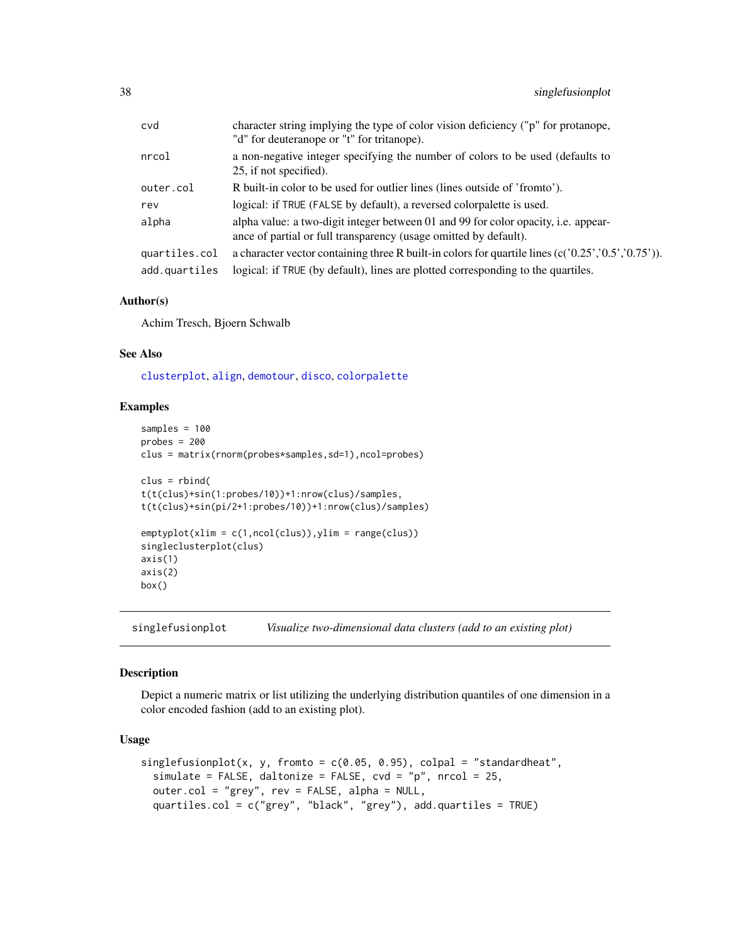<span id="page-37-0"></span>

| cvd           | character string implying the type of color vision deficiency ("p" for protanope,<br>"d" for deuteranope or "t" for tritanope).                        |
|---------------|--------------------------------------------------------------------------------------------------------------------------------------------------------|
| nrcol         | a non-negative integer specifying the number of colors to be used (defaults to<br>25, if not specified).                                               |
| outer.col     | R built-in color to be used for outlier lines (lines outside of 'fromto').                                                                             |
| rev           | logical: if TRUE (FALSE by default), a reversed colorpalette is used.                                                                                  |
| alpha         | alpha value: a two-digit integer between 01 and 99 for color opacity, i.e. appear-<br>ance of partial or full transparency (usage omitted by default). |
| quartiles.col | a character vector containing three R built-in colors for quartile lines $(c(0.25, 0.5, 0.05))$ .                                                      |
| add.quartiles | logical: if TRUE (by default), lines are plotted corresponding to the quartiles.                                                                       |
|               |                                                                                                                                                        |

#### Author(s)

Achim Tresch, Bjoern Schwalb

#### See Also

[clusterplot](#page-2-1), [align](#page-1-1), [demotour](#page-10-1), [disco](#page-11-1), [colorpalette](#page-4-1)

## Examples

```
samples = 100
probes = 200clus = matrix(rnorm(probes*samples,sd=1),ncol=probes)
clus = rbind(
t(t(clus)+sin(1:probes/10))+1:nrow(clus)/samples,
t(t(clus)+sin(pi/2+1:probes/10))+1:nrow(clus)/samples)
emptyplot(xlim = c(1,ncol(clus)),ylim = range(clus))
singleclusterplot(clus)
axis(1)
axis(2)
box()
```
<span id="page-37-1"></span>singlefusionplot *Visualize two-dimensional data clusters (add to an existing plot)*

#### Description

Depict a numeric matrix or list utilizing the underlying distribution quantiles of one dimension in a color encoded fashion (add to an existing plot).

#### Usage

```
singlefusionplot(x, y, from to = c(0.05, 0.95), colpal = "standardheat",simulate = FALSE, daltonize = FALSE, \text{cvd} = \text{"p"}, \text{nrcol} = 25,
  outer.col = "grey", rev = FALSE, alpha = NULL,
  quartiles.col = c("grey", "black", "grey"), add.quartiles = TRUE)
```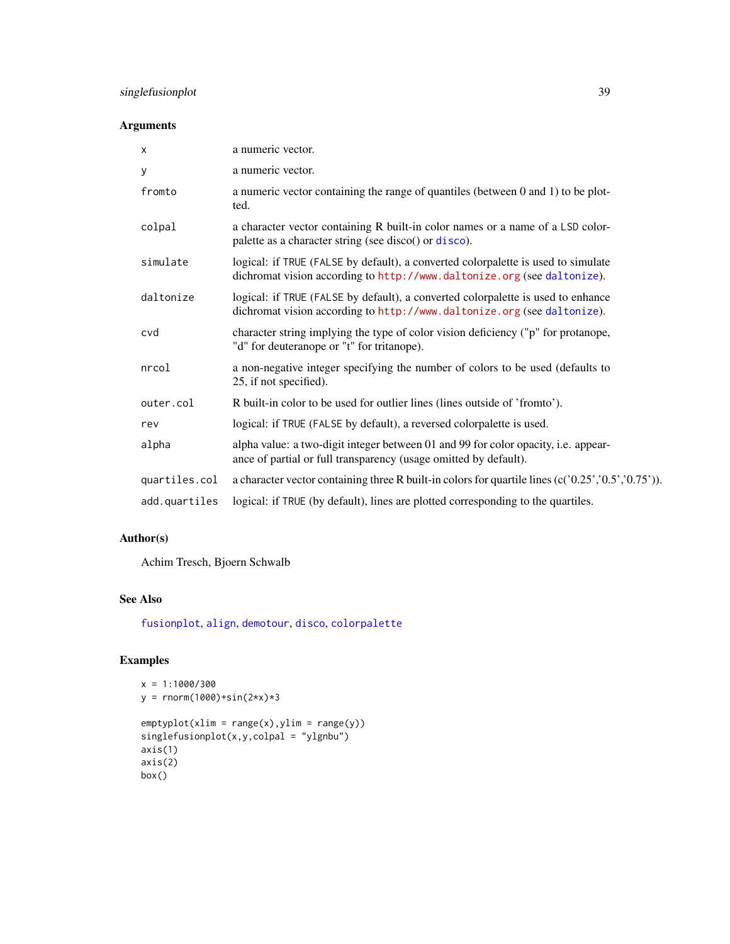## <span id="page-38-0"></span>singlefusionplot 39

## Arguments

| $\boldsymbol{\mathsf{x}}$ | a numeric vector.                                                                                                                                            |
|---------------------------|--------------------------------------------------------------------------------------------------------------------------------------------------------------|
| У                         | a numeric vector.                                                                                                                                            |
| fromto                    | a numeric vector containing the range of quantiles (between 0 and 1) to be plot-<br>ted.                                                                     |
| colpal                    | a character vector containing R built-in color names or a name of a LSD color-<br>palette as a character string (see disco() or disco).                      |
| simulate                  | logical: if TRUE (FALSE by default), a converted colorpalette is used to simulate<br>dichromat vision according to http://www.daltonize.org (see daltonize). |
| daltonize                 | logical: if TRUE (FALSE by default), a converted colorpalette is used to enhance<br>dichromat vision according to http://www.daltonize.org (see daltonize).  |
| cvd                       | character string implying the type of color vision deficiency ("p" for protanope,<br>"d" for deuteranope or "t" for tritanope).                              |
| nrcol                     | a non-negative integer specifying the number of colors to be used (defaults to<br>25, if not specified).                                                     |
| outer.col                 | R built-in color to be used for outlier lines (lines outside of 'fromto').                                                                                   |
| rev                       | logical: if TRUE (FALSE by default), a reversed colorpalette is used.                                                                                        |
| alpha                     | alpha value: a two-digit integer between 01 and 99 for color opacity, i.e. appear-<br>ance of partial or full transparency (usage omitted by default).       |
| quartiles.col             | a character vector containing three R built-in colors for quartile lines $(c('0.25', '0.5', '0.75'))$ .                                                      |
| add.quartiles             | logical: if TRUE (by default), lines are plotted corresponding to the quartiles.                                                                             |

## Author(s)

Achim Tresch, Bjoern Schwalb

## See Also

[fusionplot](#page-15-1), [align](#page-1-1), [demotour](#page-10-1), [disco](#page-11-1), [colorpalette](#page-4-1)

```
x = 1:1000/300
y = rnorm(1000) + sin(2*x)*3
```

```
emptyplot(xlim = range(x), ylim = range(y))singlefusionplot(x,y,colpal = "ylgnbu")
axis(1)
axis(2)
box()
```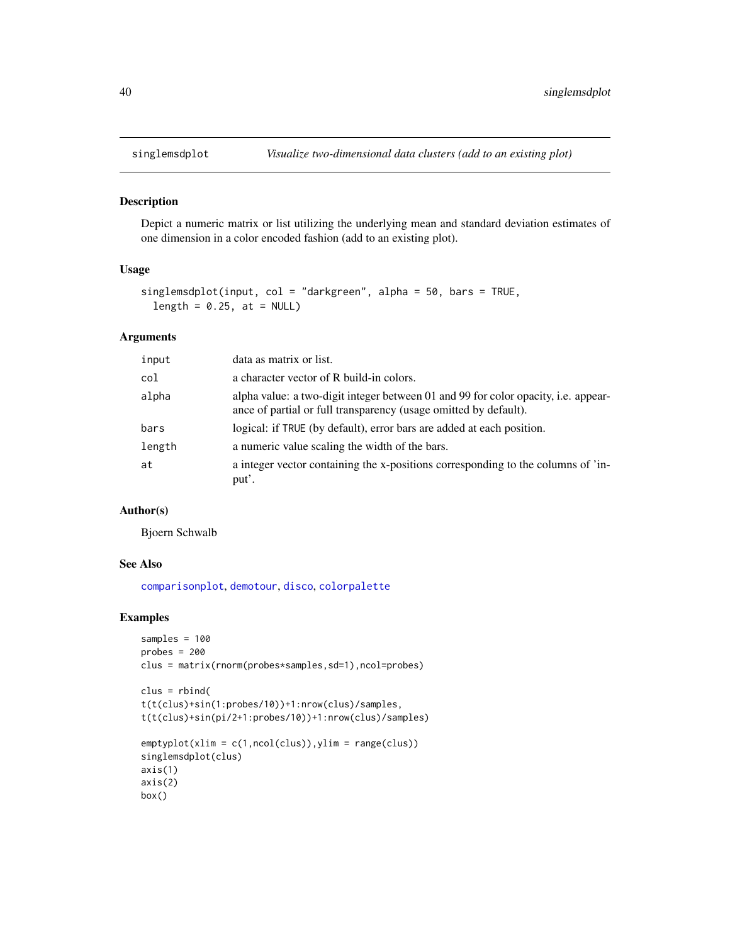<span id="page-39-0"></span>

Depict a numeric matrix or list utilizing the underlying mean and standard deviation estimates of one dimension in a color encoded fashion (add to an existing plot).

#### Usage

```
singlemsdplot(input, col = "darkgreen", alpha = 50, bars = TRUE,
 length = 0.25, at = NULL)
```
#### Arguments

| input  | data as matrix or list.                                                                                                                                |
|--------|--------------------------------------------------------------------------------------------------------------------------------------------------------|
| col    | a character vector of R build-in colors.                                                                                                               |
| alpha  | alpha value: a two-digit integer between 01 and 99 for color opacity, i.e. appear-<br>ance of partial or full transparency (usage omitted by default). |
| bars   | logical: if TRUE (by default), error bars are added at each position.                                                                                  |
| length | a numeric value scaling the width of the bars.                                                                                                         |
| at     | a integer vector containing the x-positions corresponding to the columns of 'in-<br>put'.                                                              |

#### Author(s)

Bjoern Schwalb

#### See Also

[comparisonplot](#page-5-1), [demotour](#page-10-1), [disco](#page-11-1), [colorpalette](#page-4-1)

```
samples = 100
probes = 200clus = matrix(rnorm(probes*samples,sd=1),ncol=probes)
```

```
clus = rbind(t(t(clus)+sin(1:probes/10))+1:nrow(clus)/samples,
t(t(clus)+sin(pi/2+1:probes/10))+1:nrow(clus)/samples)
```

```
emptyplot(xlim = c(1, ncol(clus)), ylim = range(clus))singlemsdplot(clus)
axis(1)
axis(2)
box()
```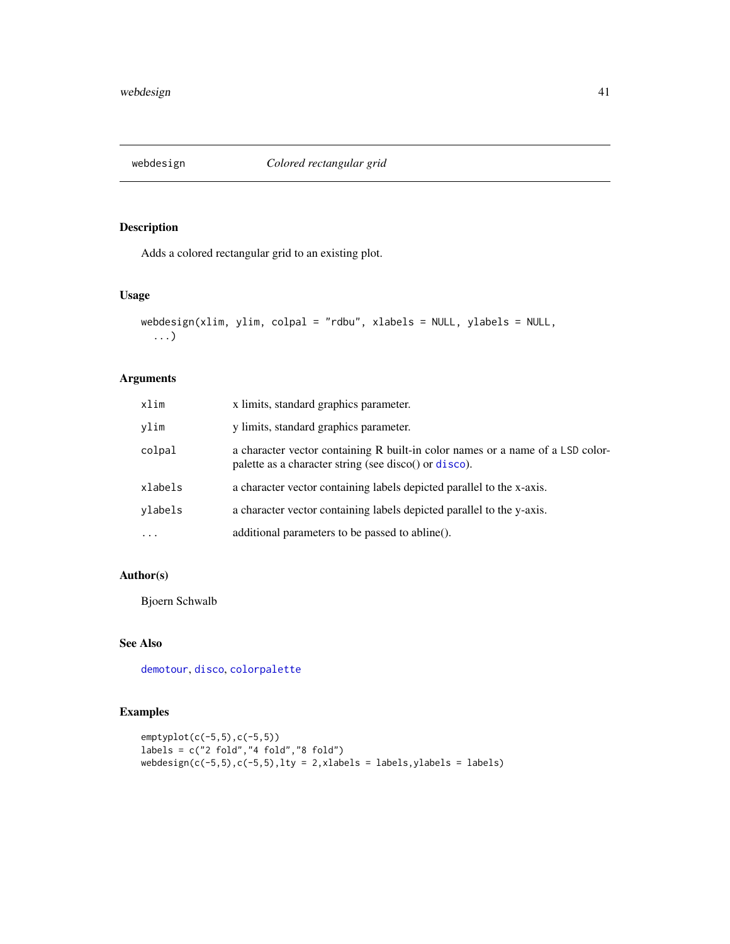<span id="page-40-0"></span>

Adds a colored rectangular grid to an existing plot.

#### Usage

```
webdesign(xlim, ylim, colpal = "rdbu", xlabels = NULL, ylabels = NULL,
  ...)
```
## Arguments

| xlim     | x limits, standard graphics parameter.                                                                                                  |
|----------|-----------------------------------------------------------------------------------------------------------------------------------------|
| vlim     | y limits, standard graphics parameter.                                                                                                  |
| colpal   | a character vector containing R built-in color names or a name of a LSD color-<br>palette as a character string (see disco() or disco). |
| xlabels  | a character vector containing labels depicted parallel to the x-axis.                                                                   |
| ylabels  | a character vector containing labels depicted parallel to the y-axis.                                                                   |
| $\cdots$ | additional parameters to be passed to abline().                                                                                         |

## Author(s)

Bjoern Schwalb

## See Also

[demotour](#page-10-1), [disco](#page-11-1), [colorpalette](#page-4-1)

```
emptyplot(c(-5,5),c(-5,5))
labels = c("2 fold","4 fold","8 fold")
webdesign(c(-5,5),c(-5,5),lty = 2,xlabels = labels,ylabels = labels)
```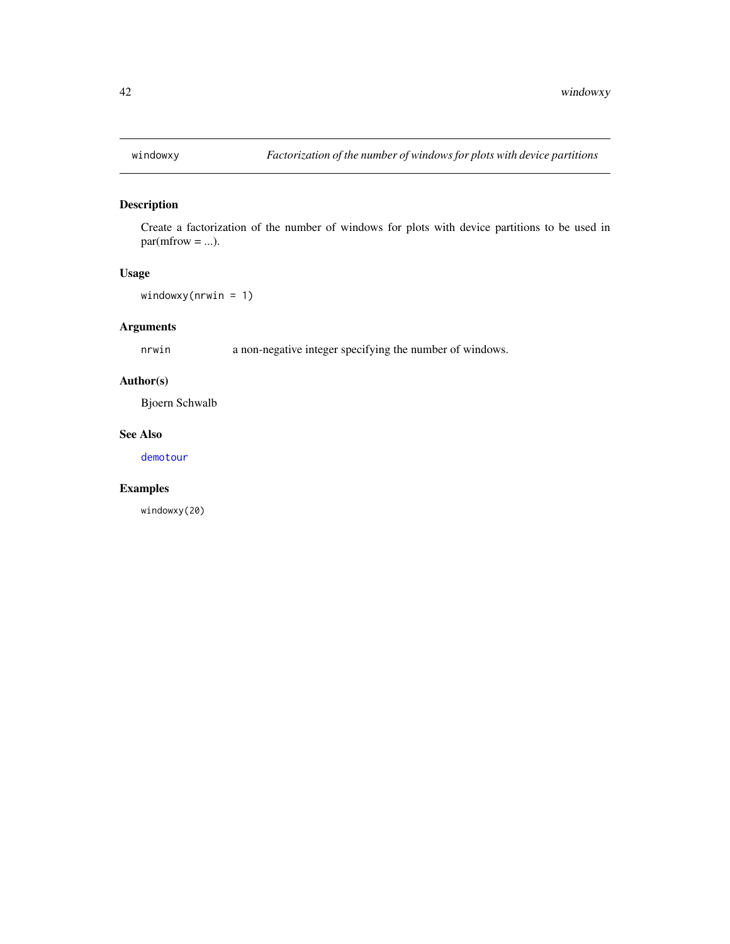<span id="page-41-0"></span>

Create a factorization of the number of windows for plots with device partitions to be used in  $par(mfrow = ...)$ .

## Usage

windowxy(nrwin = 1)

## Arguments

nrwin a non-negative integer specifying the number of windows.

## Author(s)

Bjoern Schwalb

#### See Also

[demotour](#page-10-1)

## Examples

windowxy(20)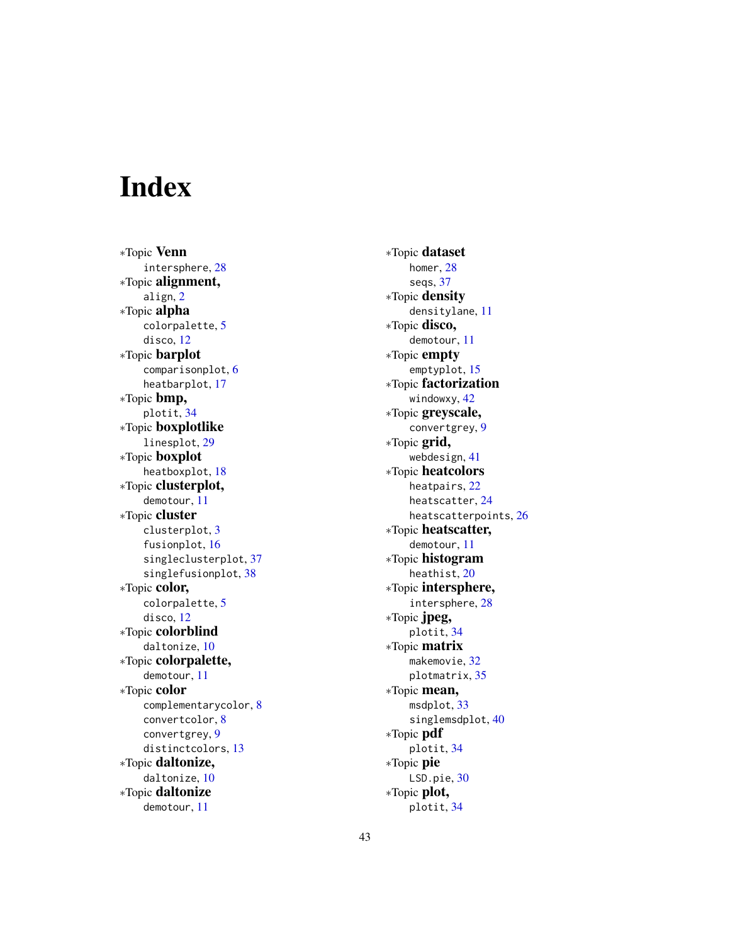# <span id="page-42-0"></span>Index

∗Topic Venn intersphere , [28](#page-27-0) ∗Topic alignment, align , [2](#page-1-0) ∗Topic alpha colorpalette , [5](#page-4-0) disco , [12](#page-11-0) ∗Topic barplot comparisonplot , [6](#page-5-0) heatbarplot , [17](#page-16-0) ∗Topic bmp, plotit , [34](#page-33-0) ∗Topic boxplotlike linesplot , [29](#page-28-0) ∗Topic boxplot heatboxplot , [18](#page-17-0) ∗Topic clusterplot, demotour , [11](#page-10-0) ∗Topic cluster clusterplot , [3](#page-2-0) fusionplot , [16](#page-15-0) singleclusterplot , [37](#page-36-0) singlefusionplot , [38](#page-37-0) ∗Topic color, colorpalette , [5](#page-4-0) disco , [12](#page-11-0) ∗Topic colorblind daltonize , [10](#page-9-0) ∗Topic colorpalette, demotour , [11](#page-10-0) ∗Topic color complementarycolor , [8](#page-7-0) convertcolor , [8](#page-7-0) convertgrey , [9](#page-8-0) distinctcolors , [13](#page-12-0) ∗Topic daltonize, daltonize , [10](#page-9-0) ∗Topic daltonize demotour , [11](#page-10-0)

∗Topic dataset homer, [28](#page-27-0) seqs , [37](#page-36-0) ∗Topic density densitylane , [11](#page-10-0) ∗Topic disco, demotour , [11](#page-10-0) ∗Topic empty emptyplot , [15](#page-14-0) ∗Topic factorization windowxy, [42](#page-41-0) ∗Topic greyscale, convertgrey , [9](#page-8-0) ∗Topic grid, webdesign , [41](#page-40-0) ∗Topic heatcolors heatpairs , [22](#page-21-0) heatscatter , [24](#page-23-0) heatscatterpoints , [26](#page-25-0) ∗Topic heatscatter, demotour , [11](#page-10-0) ∗Topic histogram heathist , [20](#page-19-0) ∗Topic intersphere, intersphere , [28](#page-27-0) ∗Topic jpeg, plotit , [34](#page-33-0) ∗Topic matrix makemovie, [32](#page-31-0) plotmatrix , [35](#page-34-0) ∗Topic mean, msdplot, [33](#page-32-0) singlemsdplot, [40](#page-39-0) ∗Topic pdf plotit , [34](#page-33-0) ∗Topic pie LSD.pie, [30](#page-29-0) ∗Topic plot, plotit , [34](#page-33-0)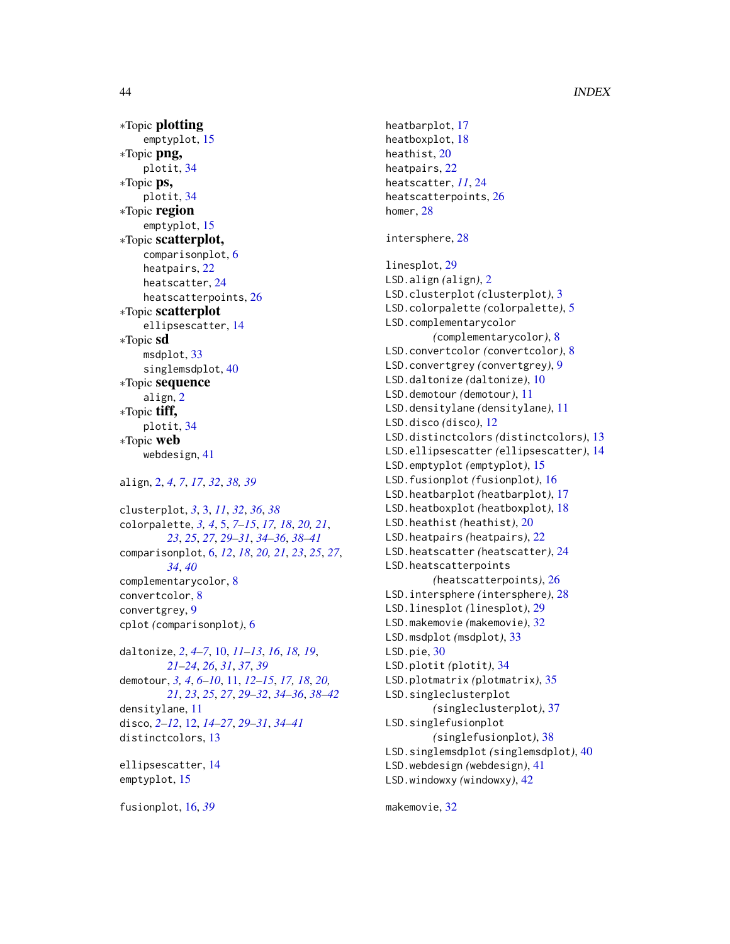```
∗Topic plotting
    emptyplot, 15
∗Topic png,
    plotit, 34
∗Topic ps,
    plotit, 34
∗Topic region
    emptyplot, 15
∗Topic scatterplot,
    comparisonplot, 6
    heatpairs, 22
    heatscatter, 24
    heatscatterpoints, 26
∗Topic scatterplot
    ellipsescatter, 14
∗Topic sd
    msdplot, 33
    singlemsdplot, 40
∗Topic sequence
    align, 2
∗Topic tiff,
    plotit, 34
∗Topic web
    webdesign, 41
align, 2, 4, 7, 17, 32, 38, 39
clusterplot, 3, 3, 11, 32, 36, 38
colorpalette, 3, 4, 5, 7–15, 17, 18, 20, 21,
         23, 25, 27, 29–31, 34–36, 38–41
comparisonplot, 6, 12, 18, 20, 21, 23, 25, 27,
         34, 40
complementarycolor, 8
convertcolor, 8
convertgrey, 9
cplot (comparisonplot), 6
daltonize, 2, 4–7, 10, 11–13, 16, 18, 19,
         21–24, 26, 31, 37, 39
demotour, 3, 4, 6–10, 11, 12–15, 17, 18, 20,
         21, 23, 25, 27, 29–32, 34–36, 38–42
densitylane, 11
disco, 2–12, 12, 14–27, 29–31, 34–41
distinctcolors, 13
ellipsescatter, 14
emptyplot, 15
```
heatbarplot, [17](#page-16-0) heatboxplot, [18](#page-17-0) heathist, [20](#page-19-0) heatpairs, [22](#page-21-0) heatscatter, *[11](#page-10-0)*, [24](#page-23-0) heatscatterpoints, [26](#page-25-0) homer, [28](#page-27-0) intersphere, [28](#page-27-0) linesplot, [29](#page-28-0) LSD.align *(*align*)*, [2](#page-1-0) LSD.clusterplot *(*clusterplot*)*, [3](#page-2-0) LSD.colorpalette *(*colorpalette*)*, [5](#page-4-0) LSD.complementarycolor *(*complementarycolor*)*, [8](#page-7-0) LSD.convertcolor *(*convertcolor*)*, [8](#page-7-0) LSD.convertgrey *(*convertgrey*)*, [9](#page-8-0) LSD.daltonize *(*daltonize*)*, [10](#page-9-0) LSD.demotour *(*demotour*)*, [11](#page-10-0) LSD.densitylane *(*densitylane*)*, [11](#page-10-0) LSD.disco *(*disco*)*, [12](#page-11-0) LSD.distinctcolors *(*distinctcolors*)*, [13](#page-12-0) LSD.ellipsescatter *(*ellipsescatter*)*, [14](#page-13-0) LSD.emptyplot *(*emptyplot*)*, [15](#page-14-0) LSD.fusionplot *(*fusionplot*)*, [16](#page-15-0) LSD.heatbarplot *(*heatbarplot*)*, [17](#page-16-0) LSD.heatboxplot *(*heatboxplot*)*, [18](#page-17-0) LSD.heathist *(*heathist*)*, [20](#page-19-0) LSD.heatpairs *(*heatpairs*)*, [22](#page-21-0) LSD.heatscatter *(*heatscatter*)*, [24](#page-23-0) LSD.heatscatterpoints *(*heatscatterpoints*)*, [26](#page-25-0) LSD.intersphere *(*intersphere*)*, [28](#page-27-0) LSD.linesplot *(*linesplot*)*, [29](#page-28-0) LSD.makemovie *(*makemovie*)*, [32](#page-31-0) LSD.msdplot *(*msdplot*)*, [33](#page-32-0) LSD.pie, [30](#page-29-0) LSD.plotit *(*plotit*)*, [34](#page-33-0) LSD.plotmatrix *(*plotmatrix*)*, [35](#page-34-0) LSD.singleclusterplot *(*singleclusterplot*)*, [37](#page-36-0) LSD.singlefusionplot *(*singlefusionplot*)*, [38](#page-37-0) LSD.singlemsdplot *(*singlemsdplot*)*, [40](#page-39-0) LSD.webdesign *(*webdesign*)*, [41](#page-40-0) LSD.windowxy *(*windowxy*)*, [42](#page-41-0)

makemovie, [32](#page-31-0)